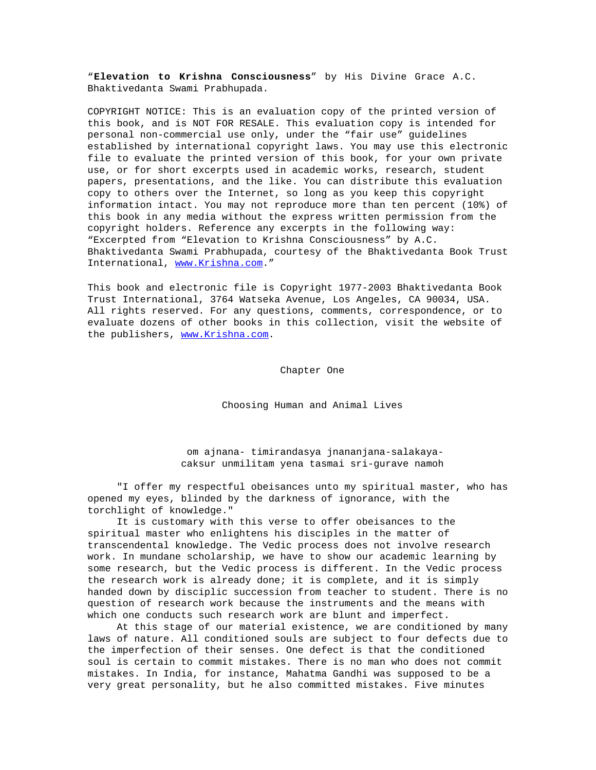"**Elevation to Krishna Consciousness**" by His Divine Grace A.C. Bhaktivedanta Swami Prabhupada.

COPYRIGHT NOTICE: This is an evaluation copy of the printed version of this book, and is NOT FOR RESALE. This evaluation copy is intended for personal non-commercial use only, under the "fair use" guidelines established by international copyright laws. You may use this electronic file to evaluate the printed version of this book, for your own private use, or for short excerpts used in academic works, research, student papers, presentations, and the like. You can distribute this evaluation copy to others over the Internet, so long as you keep this copyright information intact. You may not reproduce more than ten percent (10%) of this book in any media without the express written permission from the copyright holders. Reference any excerpts in the following way: "Excerpted from "Elevation to Krishna Consciousness" by A.C. Bhaktivedanta Swami Prabhupada, courtesy of the Bhaktivedanta Book Trust International, www.Krishna.com."

This book and electronic file is Copyright 1977-2003 Bhaktivedanta Book Trust International, 3764 Watseka Avenue, Los Angeles, CA 90034, USA. All rights reserved. For any questions, comments, correspondence, or to evaluate dozens of other books in this collection, visit the website of the publishers, www.Krishna.com.

Chapter One

Choosing Human and Animal Lives

 om ajnana- timirandasya jnananjana-salakaya caksur unmilitam yena tasmai sri-gurave namoh

 "I offer my respectful obeisances unto my spiritual master, who has opened my eyes, blinded by the darkness of ignorance, with the torchlight of knowledge."

 It is customary with this verse to offer obeisances to the spiritual master who enlightens his disciples in the matter of transcendental knowledge. The Vedic process does not involve research work. In mundane scholarship, we have to show our academic learning by some research, but the Vedic process is different. In the Vedic process the research work is already done; it is complete, and it is simply handed down by disciplic succession from teacher to student. There is no question of research work because the instruments and the means with which one conducts such research work are blunt and imperfect.

 At this stage of our material existence, we are conditioned by many laws of nature. All conditioned souls are subject to four defects due to the imperfection of their senses. One defect is that the conditioned soul is certain to commit mistakes. There is no man who does not commit mistakes. In India, for instance, Mahatma Gandhi was supposed to be a very great personality, but he also committed mistakes. Five minutes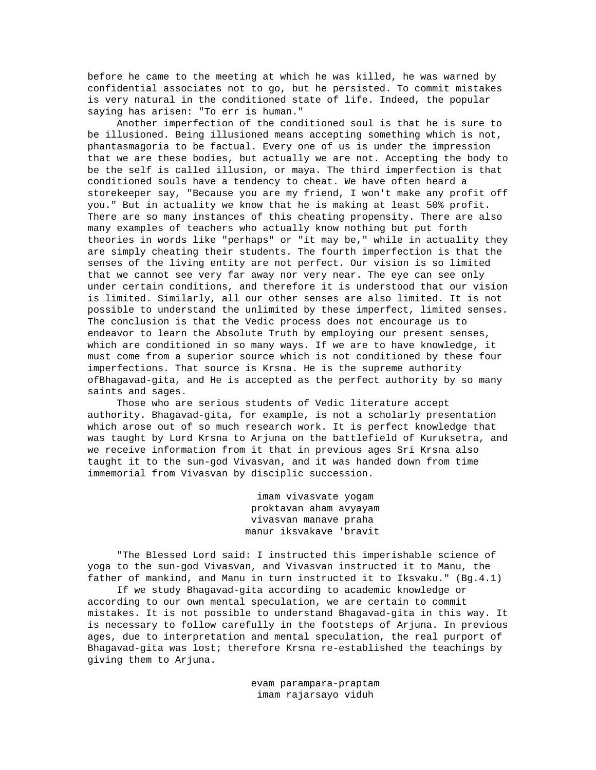before he came to the meeting at which he was killed, he was warned by confidential associates not to go, but he persisted. To commit mistakes is very natural in the conditioned state of life. Indeed, the popular saying has arisen: "To err is human."

 Another imperfection of the conditioned soul is that he is sure to be illusioned. Being illusioned means accepting something which is not, phantasmagoria to be factual. Every one of us is under the impression that we are these bodies, but actually we are not. Accepting the body to be the self is called illusion, or maya. The third imperfection is that conditioned souls have a tendency to cheat. We have often heard a storekeeper say, "Because you are my friend, I won't make any profit off you." But in actuality we know that he is making at least 50% profit. There are so many instances of this cheating propensity. There are also many examples of teachers who actually know nothing but put forth theories in words like "perhaps" or "it may be," while in actuality they are simply cheating their students. The fourth imperfection is that the senses of the living entity are not perfect. Our vision is so limited that we cannot see very far away nor very near. The eye can see only under certain conditions, and therefore it is understood that our vision is limited. Similarly, all our other senses are also limited. It is not possible to understand the unlimited by these imperfect, limited senses. The conclusion is that the Vedic process does not encourage us to endeavor to learn the Absolute Truth by employing our present senses, which are conditioned in so many ways. If we are to have knowledge, it must come from a superior source which is not conditioned by these four imperfections. That source is Krsna. He is the supreme authority ofBhagavad-gita, and He is accepted as the perfect authority by so many saints and sages.

 Those who are serious students of Vedic literature accept authority. Bhagavad-gita, for example, is not a scholarly presentation which arose out of so much research work. It is perfect knowledge that was taught by Lord Krsna to Arjuna on the battlefield of Kuruksetra, and we receive information from it that in previous ages Sri Krsna also taught it to the sun-god Vivasvan, and it was handed down from time immemorial from Vivasvan by disciplic succession.

> imam vivasvate yogam proktavan aham avyayam vivasvan manave praha manur iksvakave 'bravit

 "The Blessed Lord said: I instructed this imperishable science of yoga to the sun-god Vivasvan, and Vivasvan instructed it to Manu, the father of mankind, and Manu in turn instructed it to Iksvaku." (Bg.4.1)

 If we study Bhagavad-gita according to academic knowledge or according to our own mental speculation, we are certain to commit mistakes. It is not possible to understand Bhagavad-gita in this way. It is necessary to follow carefully in the footsteps of Arjuna. In previous ages, due to interpretation and mental speculation, the real purport of Bhagavad-gita was lost; therefore Krsna re-established the teachings by giving them to Arjuna.

> evam parampara-praptam imam rajarsayo viduh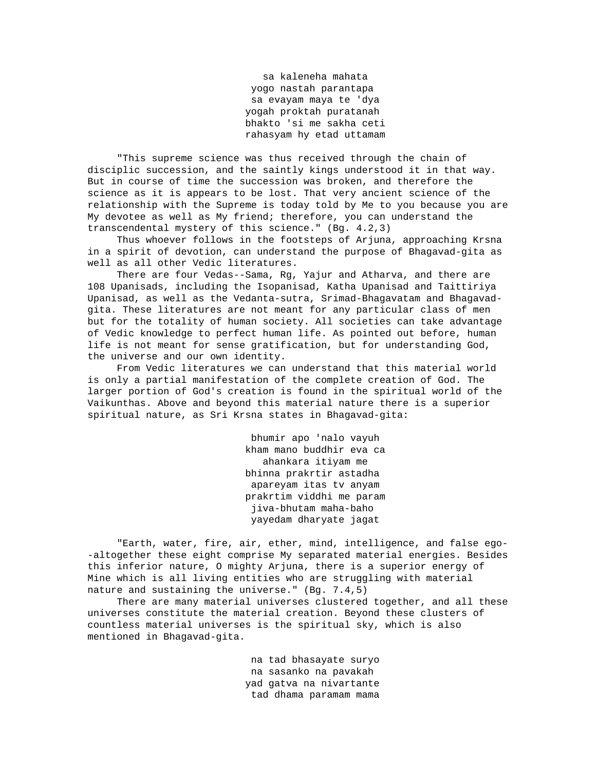sa kaleneha mahata yogo nastah parantapa sa evayam maya te 'dya yogah proktah puratanah bhakto 'si me sakha ceti rahasyam hy etad uttamam

 "This supreme science was thus received through the chain of disciplic succession, and the saintly kings understood it in that way. But in course of time the succession was broken, and therefore the science as it is appears to be lost. That very ancient science of the relationship with the Supreme is today told by Me to you because you are My devotee as well as My friend; therefore, you can understand the transcendental mystery of this science." (Bg. 4.2,3)

 Thus whoever follows in the footsteps of Arjuna, approaching Krsna in a spirit of devotion, can understand the purpose of Bhagavad-gita as well as all other Vedic literatures.

 There are four Vedas--Sama, Rg, Yajur and Atharva, and there are 108 Upanisads, including the Isopanisad, Katha Upanisad and Taittiriya Upanisad, as well as the Vedanta-sutra, Srimad-Bhagavatam and Bhagavadgita. These literatures are not meant for any particular class of men but for the totality of human society. All societies can take advantage of Vedic knowledge to perfect human life. As pointed out before, human life is not meant for sense gratification, but for understanding God, the universe and our own identity.

 From Vedic literatures we can understand that this material world is only a partial manifestation of the complete creation of God. The larger portion of God's creation is found in the spiritual world of the Vaikunthas. Above and beyond this material nature there is a superior spiritual nature, as Sri Krsna states in Bhagavad-gita:

> bhumir apo 'nalo vayuh kham mano buddhir eva ca ahankara itiyam me bhinna prakrtir astadha apareyam itas tv anyam prakrtim viddhi me param jiva-bhutam maha-baho yayedam dharyate jagat

 "Earth, water, fire, air, ether, mind, intelligence, and false ego- -altogether these eight comprise My separated material energies. Besides this inferior nature, O mighty Arjuna, there is a superior energy of Mine which is all living entities who are struggling with material nature and sustaining the universe." (Bg. 7.4,5)

 There are many material universes clustered together, and all these universes constitute the material creation. Beyond these clusters of countless material universes is the spiritual sky, which is also mentioned in Bhagavad-gita.

> na tad bhasayate suryo na sasanko na pavakah yad gatva na nivartante tad dhama paramam mama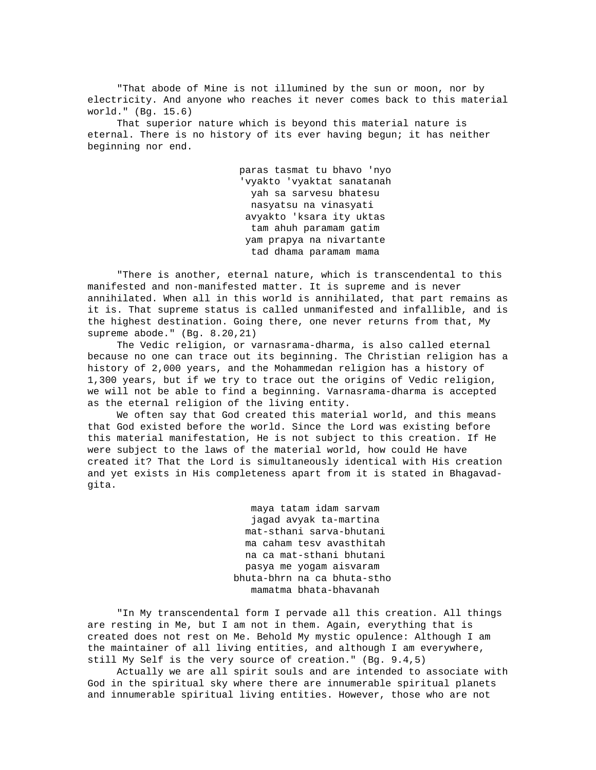"That abode of Mine is not illumined by the sun or moon, nor by electricity. And anyone who reaches it never comes back to this material world." (Bg. 15.6)

 That superior nature which is beyond this material nature is eternal. There is no history of its ever having begun; it has neither beginning nor end.

> paras tasmat tu bhavo 'nyo 'vyakto 'vyaktat sanatanah yah sa sarvesu bhatesu nasyatsu na vinasyati avyakto 'ksara ity uktas tam ahuh paramam gatim yam prapya na nivartante tad dhama paramam mama

 "There is another, eternal nature, which is transcendental to this manifested and non-manifested matter. It is supreme and is never annihilated. When all in this world is annihilated, that part remains as it is. That supreme status is called unmanifested and infallible, and is the highest destination. Going there, one never returns from that, My supreme abode." (Bg. 8.20,21)

 The Vedic religion, or varnasrama-dharma, is also called eternal because no one can trace out its beginning. The Christian religion has a history of 2,000 years, and the Mohammedan religion has a history of 1,300 years, but if we try to trace out the origins of Vedic religion, we will not be able to find a beginning. Varnasrama-dharma is accepted as the eternal religion of the living entity.

 We often say that God created this material world, and this means that God existed before the world. Since the Lord was existing before this material manifestation, He is not subject to this creation. If He were subject to the laws of the material world, how could He have created it? That the Lord is simultaneously identical with His creation and yet exists in His completeness apart from it is stated in Bhagavadgita.

> maya tatam idam sarvam jagad avyak ta-martina mat-sthani sarva-bhutani ma caham tesv avasthitah na ca mat-sthani bhutani pasya me yogam aisvaram bhuta-bhrn na ca bhuta-stho mamatma bhata-bhavanah

 "In My transcendental form I pervade all this creation. All things are resting in Me, but I am not in them. Again, everything that is created does not rest on Me. Behold My mystic opulence: Although I am the maintainer of all living entities, and although I am everywhere, still My Self is the very source of creation." (Bg. 9.4,5)

 Actually we are all spirit souls and are intended to associate with God in the spiritual sky where there are innumerable spiritual planets and innumerable spiritual living entities. However, those who are not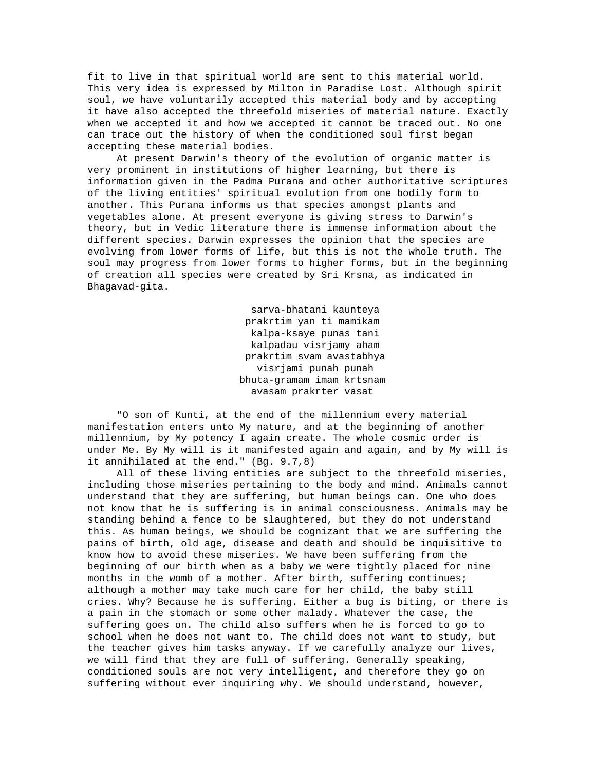fit to live in that spiritual world are sent to this material world. This very idea is expressed by Milton in Paradise Lost. Although spirit soul, we have voluntarily accepted this material body and by accepting it have also accepted the threefold miseries of material nature. Exactly when we accepted it and how we accepted it cannot be traced out. No one can trace out the history of when the conditioned soul first began accepting these material bodies.

 At present Darwin's theory of the evolution of organic matter is very prominent in institutions of higher learning, but there is information given in the Padma Purana and other authoritative scriptures of the living entities' spiritual evolution from one bodily form to another. This Purana informs us that species amongst plants and vegetables alone. At present everyone is giving stress to Darwin's theory, but in Vedic literature there is immense information about the different species. Darwin expresses the opinion that the species are evolving from lower forms of life, but this is not the whole truth. The soul may progress from lower forms to higher forms, but in the beginning of creation all species were created by Sri Krsna, as indicated in Bhagavad-gita.

> sarva-bhatani kaunteya prakrtim yan ti mamikam kalpa-ksaye punas tani kalpadau visrjamy aham prakrtim svam avastabhya visrjami punah punah bhuta-gramam imam krtsnam avasam prakrter vasat

 "O son of Kunti, at the end of the millennium every material manifestation enters unto My nature, and at the beginning of another millennium, by My potency I again create. The whole cosmic order is under Me. By My will is it manifested again and again, and by My will is it annihilated at the end." (Bg. 9.7,8)

 All of these living entities are subject to the threefold miseries, including those miseries pertaining to the body and mind. Animals cannot understand that they are suffering, but human beings can. One who does not know that he is suffering is in animal consciousness. Animals may be standing behind a fence to be slaughtered, but they do not understand this. As human beings, we should be cognizant that we are suffering the pains of birth, old age, disease and death and should be inquisitive to know how to avoid these miseries. We have been suffering from the beginning of our birth when as a baby we were tightly placed for nine months in the womb of a mother. After birth, suffering continues; although a mother may take much care for her child, the baby still cries. Why? Because he is suffering. Either a bug is biting, or there is a pain in the stomach or some other malady. Whatever the case, the suffering goes on. The child also suffers when he is forced to go to school when he does not want to. The child does not want to study, but the teacher gives him tasks anyway. If we carefully analyze our lives, we will find that they are full of suffering. Generally speaking, conditioned souls are not very intelligent, and therefore they go on suffering without ever inquiring why. We should understand, however,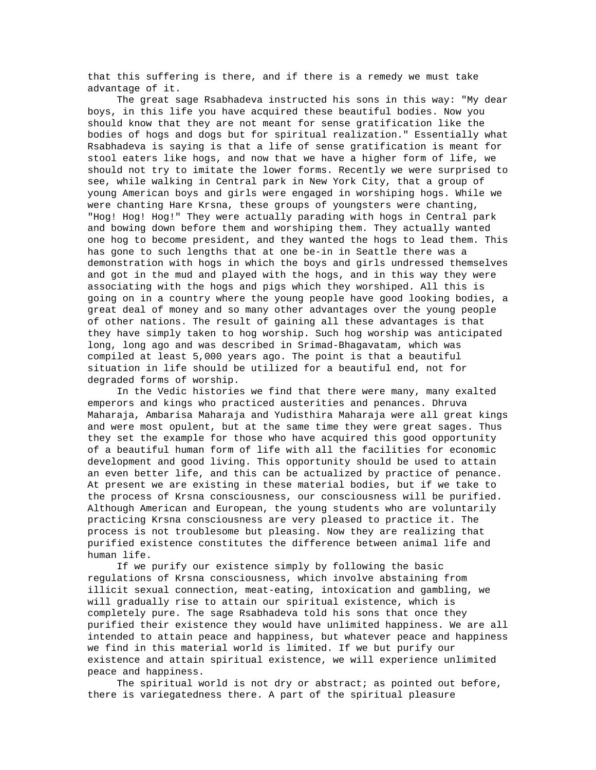that this suffering is there, and if there is a remedy we must take advantage of it.

 The great sage Rsabhadeva instructed his sons in this way: "My dear boys, in this life you have acquired these beautiful bodies. Now you should know that they are not meant for sense gratification like the bodies of hogs and dogs but for spiritual realization." Essentially what Rsabhadeva is saying is that a life of sense gratification is meant for stool eaters like hogs, and now that we have a higher form of life, we should not try to imitate the lower forms. Recently we were surprised to see, while walking in Central park in New York City, that a group of young American boys and girls were engaged in worshiping hogs. While we were chanting Hare Krsna, these groups of youngsters were chanting, "Hog! Hog! Hog!" They were actually parading with hogs in Central park and bowing down before them and worshiping them. They actually wanted one hog to become president, and they wanted the hogs to lead them. This has gone to such lengths that at one be-in in Seattle there was a demonstration with hogs in which the boys and girls undressed themselves and got in the mud and played with the hogs, and in this way they were associating with the hogs and pigs which they worshiped. All this is going on in a country where the young people have good looking bodies, a great deal of money and so many other advantages over the young people of other nations. The result of gaining all these advantages is that they have simply taken to hog worship. Such hog worship was anticipated long, long ago and was described in Srimad-Bhagavatam, which was compiled at least 5,000 years ago. The point is that a beautiful situation in life should be utilized for a beautiful end, not for degraded forms of worship.

 In the Vedic histories we find that there were many, many exalted emperors and kings who practiced austerities and penances. Dhruva Maharaja, Ambarisa Maharaja and Yudisthira Maharaja were all great kings and were most opulent, but at the same time they were great sages. Thus they set the example for those who have acquired this good opportunity of a beautiful human form of life with all the facilities for economic development and good living. This opportunity should be used to attain an even better life, and this can be actualized by practice of penance. At present we are existing in these material bodies, but if we take to the process of Krsna consciousness, our consciousness will be purified. Although American and European, the young students who are voluntarily practicing Krsna consciousness are very pleased to practice it. The process is not troublesome but pleasing. Now they are realizing that purified existence constitutes the difference between animal life and human life.

 If we purify our existence simply by following the basic regulations of Krsna consciousness, which involve abstaining from illicit sexual connection, meat-eating, intoxication and gambling, we will gradually rise to attain our spiritual existence, which is completely pure. The sage Rsabhadeva told his sons that once they purified their existence they would have unlimited happiness. We are all intended to attain peace and happiness, but whatever peace and happiness we find in this material world is limited. If we but purify our existence and attain spiritual existence, we will experience unlimited peace and happiness.

The spiritual world is not dry or abstract; as pointed out before, there is variegatedness there. A part of the spiritual pleasure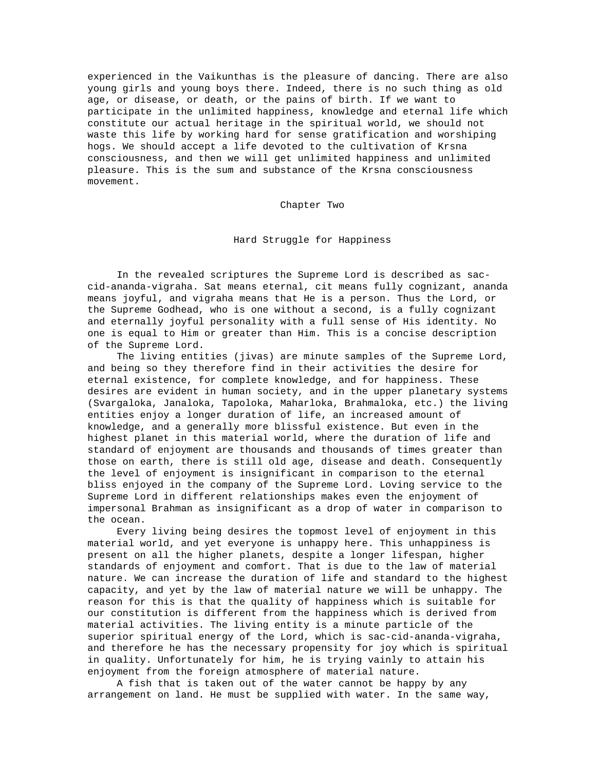experienced in the Vaikunthas is the pleasure of dancing. There are also young girls and young boys there. Indeed, there is no such thing as old age, or disease, or death, or the pains of birth. If we want to participate in the unlimited happiness, knowledge and eternal life which constitute our actual heritage in the spiritual world, we should not waste this life by working hard for sense gratification and worshiping hogs. We should accept a life devoted to the cultivation of Krsna consciousness, and then we will get unlimited happiness and unlimited pleasure. This is the sum and substance of the Krsna consciousness movement.

Chapter Two

## Hard Struggle for Happiness

 In the revealed scriptures the Supreme Lord is described as saccid-ananda-vigraha. Sat means eternal, cit means fully cognizant, ananda means joyful, and vigraha means that He is a person. Thus the Lord, or the Supreme Godhead, who is one without a second, is a fully cognizant and eternally joyful personality with a full sense of His identity. No one is equal to Him or greater than Him. This is a concise description of the Supreme Lord.

 The living entities (jivas) are minute samples of the Supreme Lord, and being so they therefore find in their activities the desire for eternal existence, for complete knowledge, and for happiness. These desires are evident in human society, and in the upper planetary systems (Svargaloka, Janaloka, Tapoloka, Maharloka, Brahmaloka, etc.) the living entities enjoy a longer duration of life, an increased amount of knowledge, and a generally more blissful existence. But even in the highest planet in this material world, where the duration of life and standard of enjoyment are thousands and thousands of times greater than those on earth, there is still old age, disease and death. Consequently the level of enjoyment is insignificant in comparison to the eternal bliss enjoyed in the company of the Supreme Lord. Loving service to the Supreme Lord in different relationships makes even the enjoyment of impersonal Brahman as insignificant as a drop of water in comparison to the ocean.

 Every living being desires the topmost level of enjoyment in this material world, and yet everyone is unhappy here. This unhappiness is present on all the higher planets, despite a longer lifespan, higher standards of enjoyment and comfort. That is due to the law of material nature. We can increase the duration of life and standard to the highest capacity, and yet by the law of material nature we will be unhappy. The reason for this is that the quality of happiness which is suitable for our constitution is different from the happiness which is derived from material activities. The living entity is a minute particle of the superior spiritual energy of the Lord, which is sac-cid-ananda-vigraha, and therefore he has the necessary propensity for joy which is spiritual in quality. Unfortunately for him, he is trying vainly to attain his enjoyment from the foreign atmosphere of material nature.

 A fish that is taken out of the water cannot be happy by any arrangement on land. He must be supplied with water. In the same way,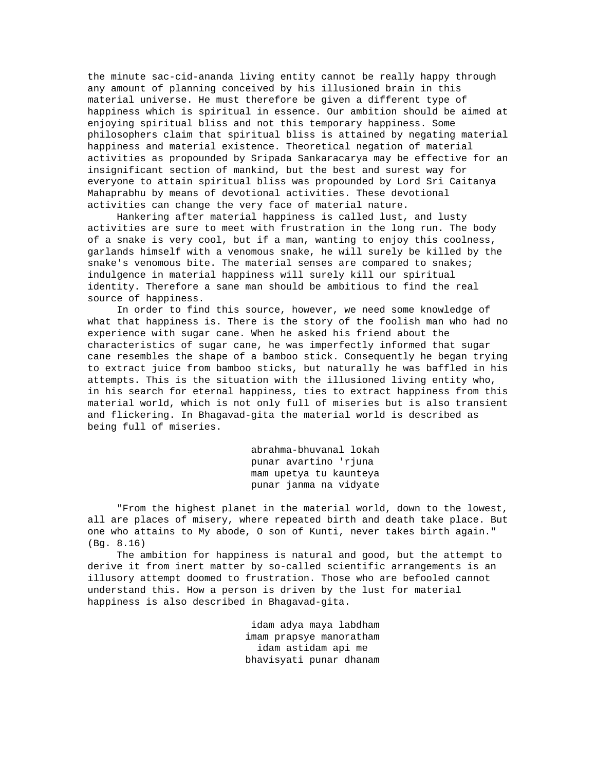the minute sac-cid-ananda living entity cannot be really happy through any amount of planning conceived by his illusioned brain in this material universe. He must therefore be given a different type of happiness which is spiritual in essence. Our ambition should be aimed at enjoying spiritual bliss and not this temporary happiness. Some philosophers claim that spiritual bliss is attained by negating material happiness and material existence. Theoretical negation of material activities as propounded by Sripada Sankaracarya may be effective for an insignificant section of mankind, but the best and surest way for everyone to attain spiritual bliss was propounded by Lord Sri Caitanya Mahaprabhu by means of devotional activities. These devotional activities can change the very face of material nature.

 Hankering after material happiness is called lust, and lusty activities are sure to meet with frustration in the long run. The body of a snake is very cool, but if a man, wanting to enjoy this coolness, garlands himself with a venomous snake, he will surely be killed by the snake's venomous bite. The material senses are compared to snakes; indulgence in material happiness will surely kill our spiritual identity. Therefore a sane man should be ambitious to find the real source of happiness.

 In order to find this source, however, we need some knowledge of what that happiness is. There is the story of the foolish man who had no experience with sugar cane. When he asked his friend about the characteristics of sugar cane, he was imperfectly informed that sugar cane resembles the shape of a bamboo stick. Consequently he began trying to extract juice from bamboo sticks, but naturally he was baffled in his attempts. This is the situation with the illusioned living entity who, in his search for eternal happiness, ties to extract happiness from this material world, which is not only full of miseries but is also transient and flickering. In Bhagavad-gita the material world is described as being full of miseries.

> abrahma-bhuvanal lokah punar avartino 'rjuna mam upetya tu kaunteya punar janma na vidyate

 "From the highest planet in the material world, down to the lowest, all are places of misery, where repeated birth and death take place. But one who attains to My abode, O son of Kunti, never takes birth again." (Bg. 8.16)

 The ambition for happiness is natural and good, but the attempt to derive it from inert matter by so-called scientific arrangements is an illusory attempt doomed to frustration. Those who are befooled cannot understand this. How a person is driven by the lust for material happiness is also described in Bhagavad-gita.

> idam adya maya labdham imam prapsye manoratham idam astidam api me bhavisyati punar dhanam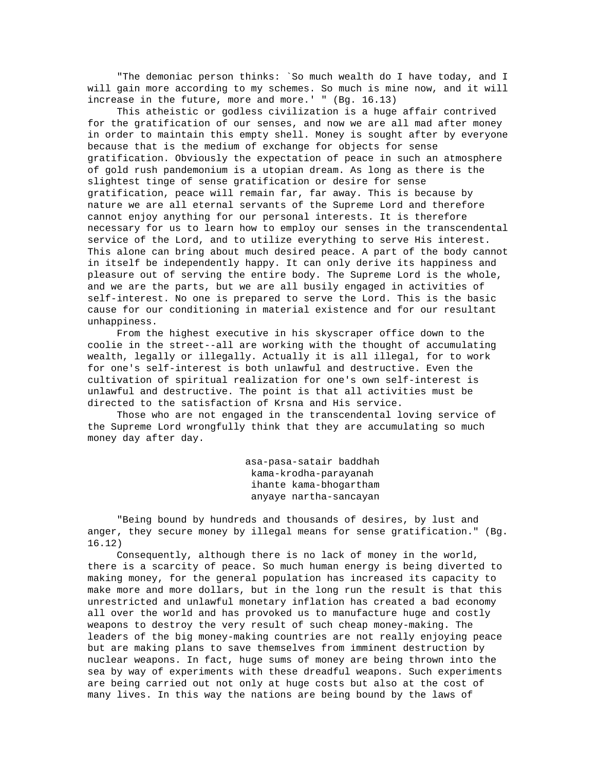"The demoniac person thinks: `So much wealth do I have today, and I will gain more according to my schemes. So much is mine now, and it will increase in the future, more and more.' " (Bg. 16.13)

 This atheistic or godless civilization is a huge affair contrived for the gratification of our senses, and now we are all mad after money in order to maintain this empty shell. Money is sought after by everyone because that is the medium of exchange for objects for sense gratification. Obviously the expectation of peace in such an atmosphere of gold rush pandemonium is a utopian dream. As long as there is the slightest tinge of sense gratification or desire for sense gratification, peace will remain far, far away. This is because by nature we are all eternal servants of the Supreme Lord and therefore cannot enjoy anything for our personal interests. It is therefore necessary for us to learn how to employ our senses in the transcendental service of the Lord, and to utilize everything to serve His interest. This alone can bring about much desired peace. A part of the body cannot in itself be independently happy. It can only derive its happiness and pleasure out of serving the entire body. The Supreme Lord is the whole, and we are the parts, but we are all busily engaged in activities of self-interest. No one is prepared to serve the Lord. This is the basic cause for our conditioning in material existence and for our resultant unhappiness.

 From the highest executive in his skyscraper office down to the coolie in the street--all are working with the thought of accumulating wealth, legally or illegally. Actually it is all illegal, for to work for one's self-interest is both unlawful and destructive. Even the cultivation of spiritual realization for one's own self-interest is unlawful and destructive. The point is that all activities must be directed to the satisfaction of Krsna and His service.

 Those who are not engaged in the transcendental loving service of the Supreme Lord wrongfully think that they are accumulating so much money day after day.

> asa-pasa-satair baddhah kama-krodha-parayanah ihante kama-bhogartham anyaye nartha-sancayan

 "Being bound by hundreds and thousands of desires, by lust and anger, they secure money by illegal means for sense gratification." (Bg. 16.12)

 Consequently, although there is no lack of money in the world, there is a scarcity of peace. So much human energy is being diverted to making money, for the general population has increased its capacity to make more and more dollars, but in the long run the result is that this unrestricted and unlawful monetary inflation has created a bad economy all over the world and has provoked us to manufacture huge and costly weapons to destroy the very result of such cheap money-making. The leaders of the big money-making countries are not really enjoying peace but are making plans to save themselves from imminent destruction by nuclear weapons. In fact, huge sums of money are being thrown into the sea by way of experiments with these dreadful weapons. Such experiments are being carried out not only at huge costs but also at the cost of many lives. In this way the nations are being bound by the laws of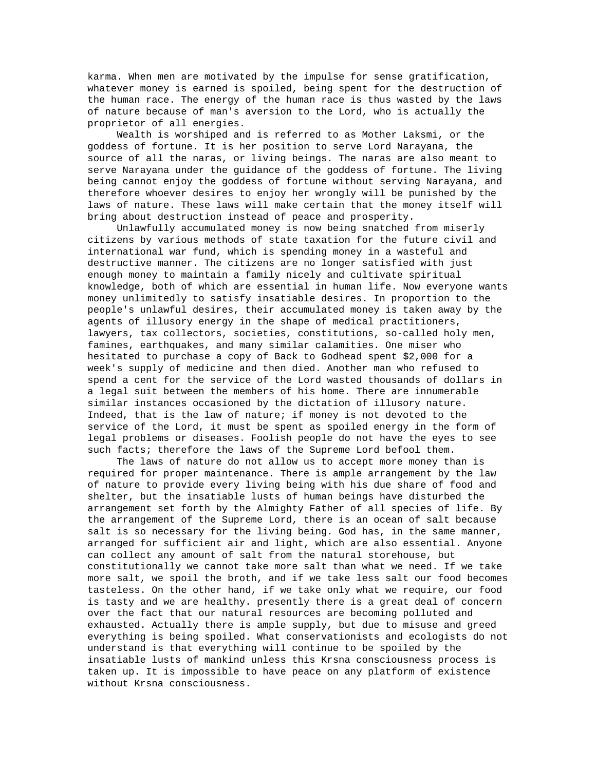karma. When men are motivated by the impulse for sense gratification, whatever money is earned is spoiled, being spent for the destruction of the human race. The energy of the human race is thus wasted by the laws of nature because of man's aversion to the Lord, who is actually the proprietor of all energies.

 Wealth is worshiped and is referred to as Mother Laksmi, or the goddess of fortune. It is her position to serve Lord Narayana, the source of all the naras, or living beings. The naras are also meant to serve Narayana under the guidance of the goddess of fortune. The living being cannot enjoy the goddess of fortune without serving Narayana, and therefore whoever desires to enjoy her wrongly will be punished by the laws of nature. These laws will make certain that the money itself will bring about destruction instead of peace and prosperity.

 Unlawfully accumulated money is now being snatched from miserly citizens by various methods of state taxation for the future civil and international war fund, which is spending money in a wasteful and destructive manner. The citizens are no longer satisfied with just enough money to maintain a family nicely and cultivate spiritual knowledge, both of which are essential in human life. Now everyone wants money unlimitedly to satisfy insatiable desires. In proportion to the people's unlawful desires, their accumulated money is taken away by the agents of illusory energy in the shape of medical practitioners, lawyers, tax collectors, societies, constitutions, so-called holy men, famines, earthquakes, and many similar calamities. One miser who hesitated to purchase a copy of Back to Godhead spent \$2,000 for a week's supply of medicine and then died. Another man who refused to spend a cent for the service of the Lord wasted thousands of dollars in a legal suit between the members of his home. There are innumerable similar instances occasioned by the dictation of illusory nature. Indeed, that is the law of nature; if money is not devoted to the service of the Lord, it must be spent as spoiled energy in the form of legal problems or diseases. Foolish people do not have the eyes to see such facts; therefore the laws of the Supreme Lord befool them.

 The laws of nature do not allow us to accept more money than is required for proper maintenance. There is ample arrangement by the law of nature to provide every living being with his due share of food and shelter, but the insatiable lusts of human beings have disturbed the arrangement set forth by the Almighty Father of all species of life. By the arrangement of the Supreme Lord, there is an ocean of salt because salt is so necessary for the living being. God has, in the same manner, arranged for sufficient air and light, which are also essential. Anyone can collect any amount of salt from the natural storehouse, but constitutionally we cannot take more salt than what we need. If we take more salt, we spoil the broth, and if we take less salt our food becomes tasteless. On the other hand, if we take only what we require, our food is tasty and we are healthy. presently there is a great deal of concern over the fact that our natural resources are becoming polluted and exhausted. Actually there is ample supply, but due to misuse and greed everything is being spoiled. What conservationists and ecologists do not understand is that everything will continue to be spoiled by the insatiable lusts of mankind unless this Krsna consciousness process is taken up. It is impossible to have peace on any platform of existence without Krsna consciousness.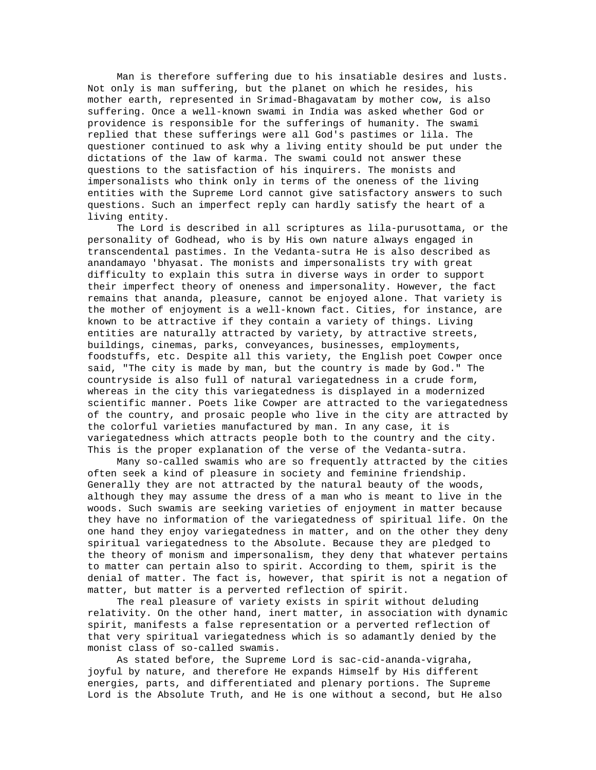Man is therefore suffering due to his insatiable desires and lusts. Not only is man suffering, but the planet on which he resides, his mother earth, represented in Srimad-Bhagavatam by mother cow, is also suffering. Once a well-known swami in India was asked whether God or providence is responsible for the sufferings of humanity. The swami replied that these sufferings were all God's pastimes or lila. The questioner continued to ask why a living entity should be put under the dictations of the law of karma. The swami could not answer these questions to the satisfaction of his inquirers. The monists and impersonalists who think only in terms of the oneness of the living entities with the Supreme Lord cannot give satisfactory answers to such questions. Such an imperfect reply can hardly satisfy the heart of a living entity.

 The Lord is described in all scriptures as lila-purusottama, or the personality of Godhead, who is by His own nature always engaged in transcendental pastimes. In the Vedanta-sutra He is also described as anandamayo 'bhyasat. The monists and impersonalists try with great difficulty to explain this sutra in diverse ways in order to support their imperfect theory of oneness and impersonality. However, the fact remains that ananda, pleasure, cannot be enjoyed alone. That variety is the mother of enjoyment is a well-known fact. Cities, for instance, are known to be attractive if they contain a variety of things. Living entities are naturally attracted by variety, by attractive streets, buildings, cinemas, parks, conveyances, businesses, employments, foodstuffs, etc. Despite all this variety, the English poet Cowper once said, "The city is made by man, but the country is made by God." The countryside is also full of natural variegatedness in a crude form, whereas in the city this variegatedness is displayed in a modernized scientific manner. Poets like Cowper are attracted to the variegatedness of the country, and prosaic people who live in the city are attracted by the colorful varieties manufactured by man. In any case, it is variegatedness which attracts people both to the country and the city. This is the proper explanation of the verse of the Vedanta-sutra.

 Many so-called swamis who are so frequently attracted by the cities often seek a kind of pleasure in society and feminine friendship. Generally they are not attracted by the natural beauty of the woods, although they may assume the dress of a man who is meant to live in the woods. Such swamis are seeking varieties of enjoyment in matter because they have no information of the variegatedness of spiritual life. On the one hand they enjoy variegatedness in matter, and on the other they deny spiritual variegatedness to the Absolute. Because they are pledged to the theory of monism and impersonalism, they deny that whatever pertains to matter can pertain also to spirit. According to them, spirit is the denial of matter. The fact is, however, that spirit is not a negation of matter, but matter is a perverted reflection of spirit.

 The real pleasure of variety exists in spirit without deluding relativity. On the other hand, inert matter, in association with dynamic spirit, manifests a false representation or a perverted reflection of that very spiritual variegatedness which is so adamantly denied by the monist class of so-called swamis.

 As stated before, the Supreme Lord is sac-cid-ananda-vigraha, joyful by nature, and therefore He expands Himself by His different energies, parts, and differentiated and plenary portions. The Supreme Lord is the Absolute Truth, and He is one without a second, but He also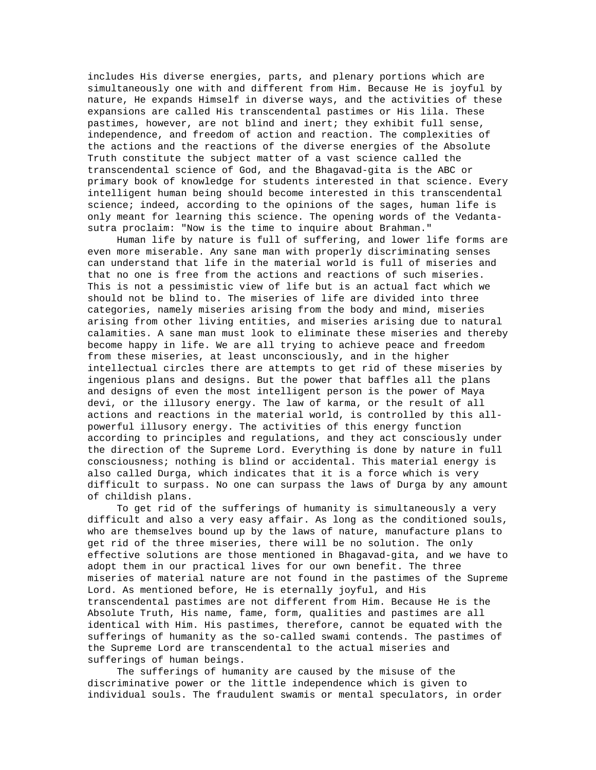includes His diverse energies, parts, and plenary portions which are simultaneously one with and different from Him. Because He is joyful by nature, He expands Himself in diverse ways, and the activities of these expansions are called His transcendental pastimes or His lila. These pastimes, however, are not blind and inert; they exhibit full sense, independence, and freedom of action and reaction. The complexities of the actions and the reactions of the diverse energies of the Absolute Truth constitute the subject matter of a vast science called the transcendental science of God, and the Bhagavad-gita is the ABC or primary book of knowledge for students interested in that science. Every intelligent human being should become interested in this transcendental science; indeed, according to the opinions of the sages, human life is only meant for learning this science. The opening words of the Vedantasutra proclaim: "Now is the time to inquire about Brahman."

 Human life by nature is full of suffering, and lower life forms are even more miserable. Any sane man with properly discriminating senses can understand that life in the material world is full of miseries and that no one is free from the actions and reactions of such miseries. This is not a pessimistic view of life but is an actual fact which we should not be blind to. The miseries of life are divided into three categories, namely miseries arising from the body and mind, miseries arising from other living entities, and miseries arising due to natural calamities. A sane man must look to eliminate these miseries and thereby become happy in life. We are all trying to achieve peace and freedom from these miseries, at least unconsciously, and in the higher intellectual circles there are attempts to get rid of these miseries by ingenious plans and designs. But the power that baffles all the plans and designs of even the most intelligent person is the power of Maya devi, or the illusory energy. The law of karma, or the result of all actions and reactions in the material world, is controlled by this allpowerful illusory energy. The activities of this energy function according to principles and regulations, and they act consciously under the direction of the Supreme Lord. Everything is done by nature in full consciousness; nothing is blind or accidental. This material energy is also called Durga, which indicates that it is a force which is very difficult to surpass. No one can surpass the laws of Durga by any amount of childish plans.

 To get rid of the sufferings of humanity is simultaneously a very difficult and also a very easy affair. As long as the conditioned souls, who are themselves bound up by the laws of nature, manufacture plans to get rid of the three miseries, there will be no solution. The only effective solutions are those mentioned in Bhagavad-gita, and we have to adopt them in our practical lives for our own benefit. The three miseries of material nature are not found in the pastimes of the Supreme Lord. As mentioned before, He is eternally joyful, and His transcendental pastimes are not different from Him. Because He is the Absolute Truth, His name, fame, form, qualities and pastimes are all identical with Him. His pastimes, therefore, cannot be equated with the sufferings of humanity as the so-called swami contends. The pastimes of the Supreme Lord are transcendental to the actual miseries and sufferings of human beings.

 The sufferings of humanity are caused by the misuse of the discriminative power or the little independence which is given to individual souls. The fraudulent swamis or mental speculators, in order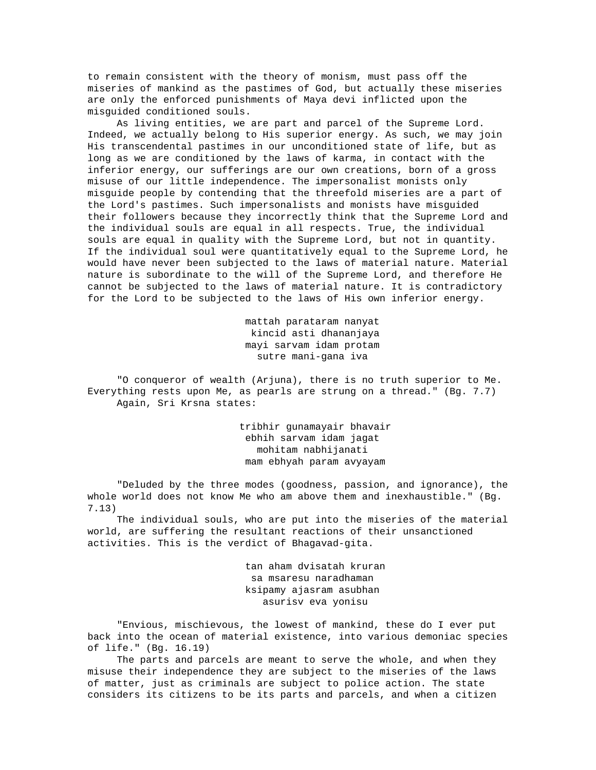to remain consistent with the theory of monism, must pass off the miseries of mankind as the pastimes of God, but actually these miseries are only the enforced punishments of Maya devi inflicted upon the misguided conditioned souls.

 As living entities, we are part and parcel of the Supreme Lord. Indeed, we actually belong to His superior energy. As such, we may join His transcendental pastimes in our unconditioned state of life, but as long as we are conditioned by the laws of karma, in contact with the inferior energy, our sufferings are our own creations, born of a gross misuse of our little independence. The impersonalist monists only misguide people by contending that the threefold miseries are a part of the Lord's pastimes. Such impersonalists and monists have misguided their followers because they incorrectly think that the Supreme Lord and the individual souls are equal in all respects. True, the individual souls are equal in quality with the Supreme Lord, but not in quantity. If the individual soul were quantitatively equal to the Supreme Lord, he would have never been subjected to the laws of material nature. Material nature is subordinate to the will of the Supreme Lord, and therefore He cannot be subjected to the laws of material nature. It is contradictory for the Lord to be subjected to the laws of His own inferior energy.

> mattah parataram nanyat kincid asti dhananjaya mayi sarvam idam protam sutre mani-gana iva

 "O conqueror of wealth (Arjuna), there is no truth superior to Me. Everything rests upon Me, as pearls are strung on a thread." (Bg. 7.7) Again, Sri Krsna states:

> tribhir gunamayair bhavair ebhih sarvam idam jagat mohitam nabhijanati mam ebhyah param avyayam

 "Deluded by the three modes (goodness, passion, and ignorance), the whole world does not know Me who am above them and inexhaustible." (Bg. 7.13)

 The individual souls, who are put into the miseries of the material world, are suffering the resultant reactions of their unsanctioned activities. This is the verdict of Bhagavad-gita.

> tan aham dvisatah kruran sa msaresu naradhaman ksipamy ajasram asubhan asurisv eva yonisu

 "Envious, mischievous, the lowest of mankind, these do I ever put back into the ocean of material existence, into various demoniac species of life." (Bg. 16.19)

 The parts and parcels are meant to serve the whole, and when they misuse their independence they are subject to the miseries of the laws of matter, just as criminals are subject to police action. The state considers its citizens to be its parts and parcels, and when a citizen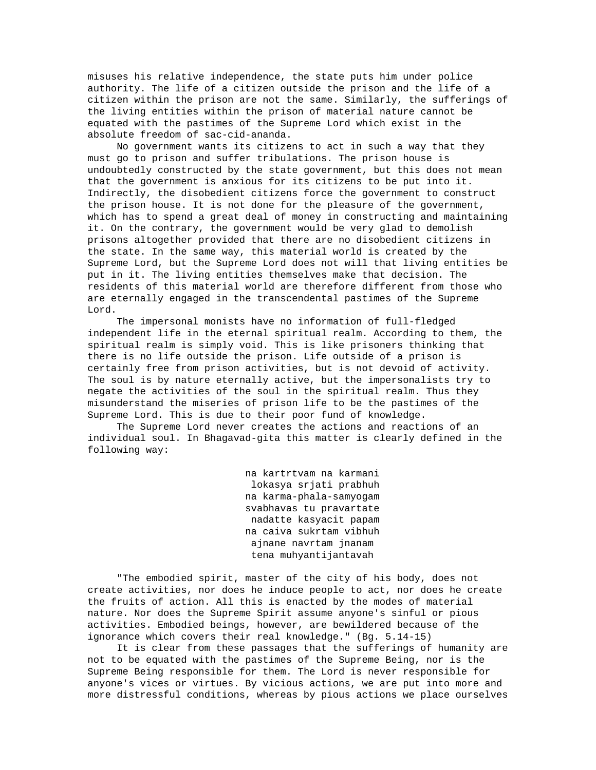misuses his relative independence, the state puts him under police authority. The life of a citizen outside the prison and the life of a citizen within the prison are not the same. Similarly, the sufferings of the living entities within the prison of material nature cannot be equated with the pastimes of the Supreme Lord which exist in the absolute freedom of sac-cid-ananda.

 No government wants its citizens to act in such a way that they must go to prison and suffer tribulations. The prison house is undoubtedly constructed by the state government, but this does not mean that the government is anxious for its citizens to be put into it. Indirectly, the disobedient citizens force the government to construct the prison house. It is not done for the pleasure of the government, which has to spend a great deal of money in constructing and maintaining it. On the contrary, the government would be very glad to demolish prisons altogether provided that there are no disobedient citizens in the state. In the same way, this material world is created by the Supreme Lord, but the Supreme Lord does not will that living entities be put in it. The living entities themselves make that decision. The residents of this material world are therefore different from those who are eternally engaged in the transcendental pastimes of the Supreme Lord.

 The impersonal monists have no information of full-fledged independent life in the eternal spiritual realm. According to them, the spiritual realm is simply void. This is like prisoners thinking that there is no life outside the prison. Life outside of a prison is certainly free from prison activities, but is not devoid of activity. The soul is by nature eternally active, but the impersonalists try to negate the activities of the soul in the spiritual realm. Thus they misunderstand the miseries of prison life to be the pastimes of the Supreme Lord. This is due to their poor fund of knowledge.

 The Supreme Lord never creates the actions and reactions of an individual soul. In Bhagavad-gita this matter is clearly defined in the following way:

> na kartrtvam na karmani lokasya srjati prabhuh na karma-phala-samyogam svabhavas tu pravartate nadatte kasyacit papam na caiva sukrtam vibhuh ajnane navrtam jnanam tena muhyantijantavah

 "The embodied spirit, master of the city of his body, does not create activities, nor does he induce people to act, nor does he create the fruits of action. All this is enacted by the modes of material nature. Nor does the Supreme Spirit assume anyone's sinful or pious activities. Embodied beings, however, are bewildered because of the ignorance which covers their real knowledge." (Bg. 5.14-15)

 It is clear from these passages that the sufferings of humanity are not to be equated with the pastimes of the Supreme Being, nor is the Supreme Being responsible for them. The Lord is never responsible for anyone's vices or virtues. By vicious actions, we are put into more and more distressful conditions, whereas by pious actions we place ourselves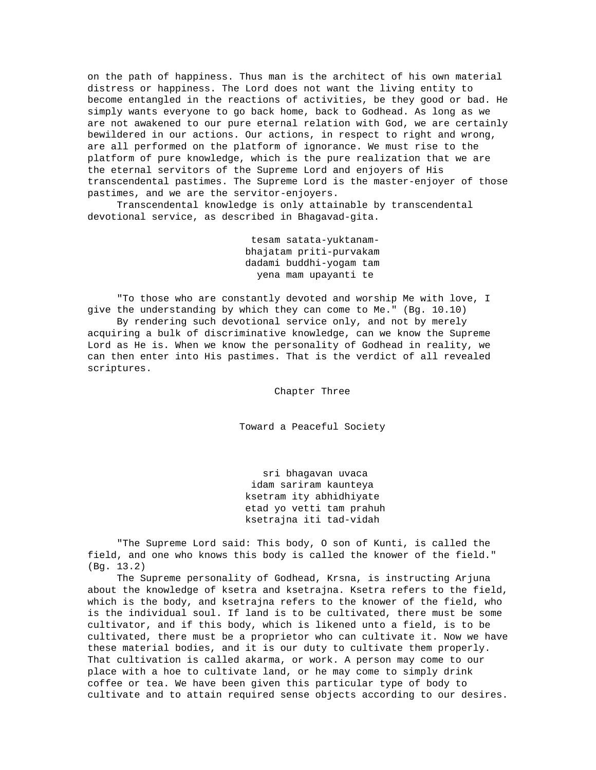on the path of happiness. Thus man is the architect of his own material distress or happiness. The Lord does not want the living entity to become entangled in the reactions of activities, be they good or bad. He simply wants everyone to go back home, back to Godhead. As long as we are not awakened to our pure eternal relation with God, we are certainly bewildered in our actions. Our actions, in respect to right and wrong, are all performed on the platform of ignorance. We must rise to the platform of pure knowledge, which is the pure realization that we are the eternal servitors of the Supreme Lord and enjoyers of His transcendental pastimes. The Supreme Lord is the master-enjoyer of those pastimes, and we are the servitor-enjoyers.

 Transcendental knowledge is only attainable by transcendental devotional service, as described in Bhagavad-gita.

> tesam satata-yuktanam bhajatam priti-purvakam dadami buddhi-yogam tam yena mam upayanti te

 "To those who are constantly devoted and worship Me with love, I give the understanding by which they can come to Me." (Bg. 10.10)

 By rendering such devotional service only, and not by merely acquiring a bulk of discriminative knowledge, can we know the Supreme Lord as He is. When we know the personality of Godhead in reality, we can then enter into His pastimes. That is the verdict of all revealed scriptures.

Chapter Three

Toward a Peaceful Society

 sri bhagavan uvaca idam sariram kaunteya ksetram ity abhidhiyate etad yo vetti tam prahuh ksetrajna iti tad-vidah

 "The Supreme Lord said: This body, O son of Kunti, is called the field, and one who knows this body is called the knower of the field." (Bg. 13.2)

 The Supreme personality of Godhead, Krsna, is instructing Arjuna about the knowledge of ksetra and ksetrajna. Ksetra refers to the field, which is the body, and ksetrajna refers to the knower of the field, who is the individual soul. If land is to be cultivated, there must be some cultivator, and if this body, which is likened unto a field, is to be cultivated, there must be a proprietor who can cultivate it. Now we have these material bodies, and it is our duty to cultivate them properly. That cultivation is called akarma, or work. A person may come to our place with a hoe to cultivate land, or he may come to simply drink coffee or tea. We have been given this particular type of body to cultivate and to attain required sense objects according to our desires.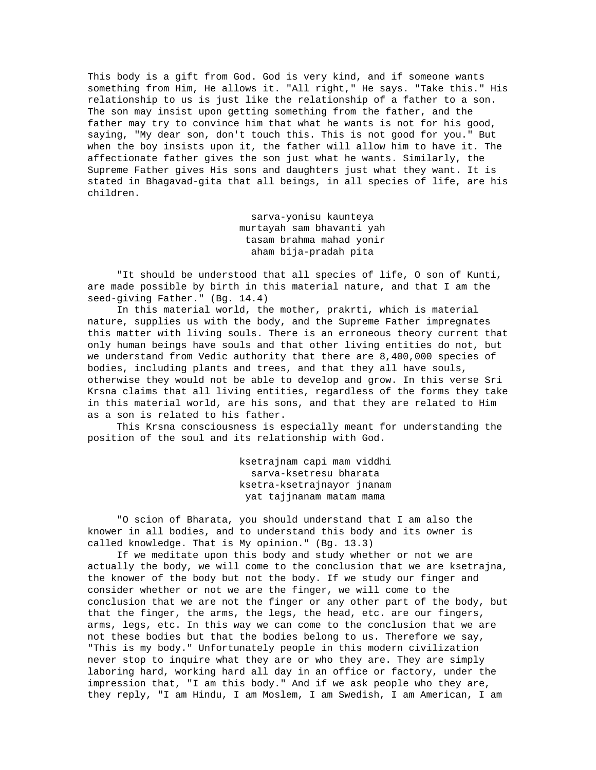This body is a gift from God. God is very kind, and if someone wants something from Him, He allows it. "All right," He says. "Take this." His relationship to us is just like the relationship of a father to a son. The son may insist upon getting something from the father, and the father may try to convince him that what he wants is not for his good, saying, "My dear son, don't touch this. This is not good for you." But when the boy insists upon it, the father will allow him to have it. The affectionate father gives the son just what he wants. Similarly, the Supreme Father gives His sons and daughters just what they want. It is stated in Bhagavad-gita that all beings, in all species of life, are his children.

> sarva-yonisu kaunteya murtayah sam bhavanti yah tasam brahma mahad yonir aham bija-pradah pita

 "It should be understood that all species of life, O son of Kunti, are made possible by birth in this material nature, and that I am the seed-giving Father." (Bg. 14.4)

 In this material world, the mother, prakrti, which is material nature, supplies us with the body, and the Supreme Father impregnates this matter with living souls. There is an erroneous theory current that only human beings have souls and that other living entities do not, but we understand from Vedic authority that there are 8,400,000 species of bodies, including plants and trees, and that they all have souls, otherwise they would not be able to develop and grow. In this verse Sri Krsna claims that all living entities, regardless of the forms they take in this material world, are his sons, and that they are related to Him as a son is related to his father.

 This Krsna consciousness is especially meant for understanding the position of the soul and its relationship with God.

> ksetrajnam capi mam viddhi sarva-ksetresu bharata ksetra-ksetrajnayor jnanam yat tajjnanam matam mama

 "O scion of Bharata, you should understand that I am also the knower in all bodies, and to understand this body and its owner is called knowledge. That is My opinion." (Bg. 13.3)

 If we meditate upon this body and study whether or not we are actually the body, we will come to the conclusion that we are ksetrajna, the knower of the body but not the body. If we study our finger and consider whether or not we are the finger, we will come to the conclusion that we are not the finger or any other part of the body, but that the finger, the arms, the legs, the head, etc. are our fingers, arms, legs, etc. In this way we can come to the conclusion that we are not these bodies but that the bodies belong to us. Therefore we say, "This is my body." Unfortunately people in this modern civilization never stop to inquire what they are or who they are. They are simply laboring hard, working hard all day in an office or factory, under the impression that, "I am this body." And if we ask people who they are, they reply, "I am Hindu, I am Moslem, I am Swedish, I am American, I am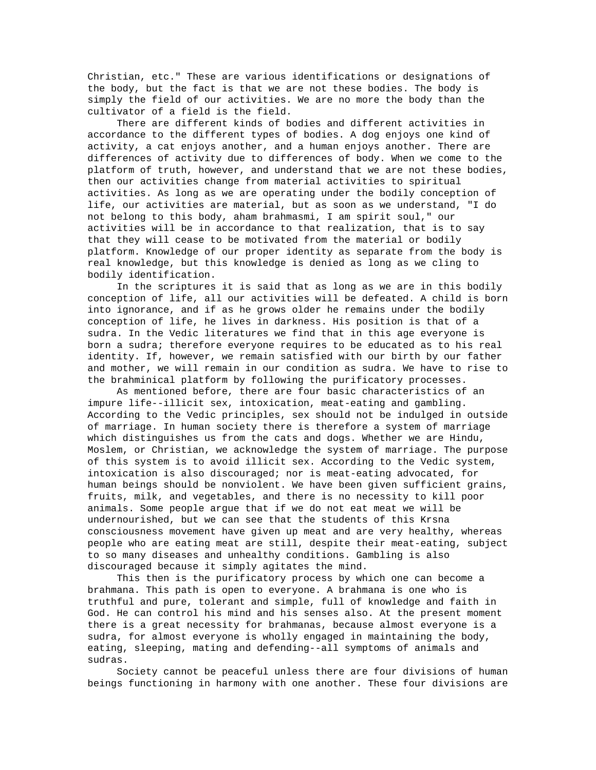Christian, etc." These are various identifications or designations of the body, but the fact is that we are not these bodies. The body is simply the field of our activities. We are no more the body than the cultivator of a field is the field.

 There are different kinds of bodies and different activities in accordance to the different types of bodies. A dog enjoys one kind of activity, a cat enjoys another, and a human enjoys another. There are differences of activity due to differences of body. When we come to the platform of truth, however, and understand that we are not these bodies, then our activities change from material activities to spiritual activities. As long as we are operating under the bodily conception of life, our activities are material, but as soon as we understand, "I do not belong to this body, aham brahmasmi, I am spirit soul," our activities will be in accordance to that realization, that is to say that they will cease to be motivated from the material or bodily platform. Knowledge of our proper identity as separate from the body is real knowledge, but this knowledge is denied as long as we cling to bodily identification.

 In the scriptures it is said that as long as we are in this bodily conception of life, all our activities will be defeated. A child is born into ignorance, and if as he grows older he remains under the bodily conception of life, he lives in darkness. His position is that of a sudra. In the Vedic literatures we find that in this age everyone is born a sudra; therefore everyone requires to be educated as to his real identity. If, however, we remain satisfied with our birth by our father and mother, we will remain in our condition as sudra. We have to rise to the brahminical platform by following the purificatory processes.

 As mentioned before, there are four basic characteristics of an impure life--illicit sex, intoxication, meat-eating and gambling. According to the Vedic principles, sex should not be indulged in outside of marriage. In human society there is therefore a system of marriage which distinguishes us from the cats and dogs. Whether we are Hindu, Moslem, or Christian, we acknowledge the system of marriage. The purpose of this system is to avoid illicit sex. According to the Vedic system, intoxication is also discouraged; nor is meat-eating advocated, for human beings should be nonviolent. We have been given sufficient grains, fruits, milk, and vegetables, and there is no necessity to kill poor animals. Some people argue that if we do not eat meat we will be undernourished, but we can see that the students of this Krsna consciousness movement have given up meat and are very healthy, whereas people who are eating meat are still, despite their meat-eating, subject to so many diseases and unhealthy conditions. Gambling is also discouraged because it simply agitates the mind.

 This then is the purificatory process by which one can become a brahmana. This path is open to everyone. A brahmana is one who is truthful and pure, tolerant and simple, full of knowledge and faith in God. He can control his mind and his senses also. At the present moment there is a great necessity for brahmanas, because almost everyone is a sudra, for almost everyone is wholly engaged in maintaining the body, eating, sleeping, mating and defending--all symptoms of animals and sudras.

 Society cannot be peaceful unless there are four divisions of human beings functioning in harmony with one another. These four divisions are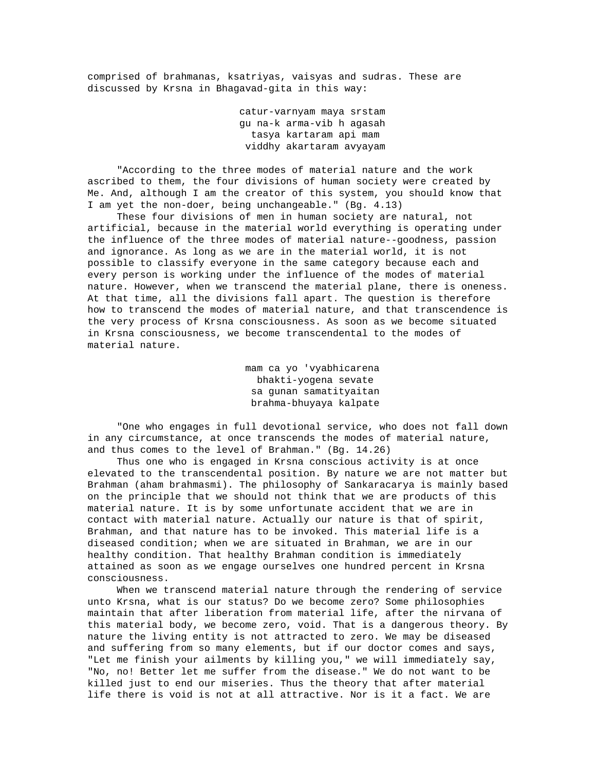comprised of brahmanas, ksatriyas, vaisyas and sudras. These are discussed by Krsna in Bhagavad-gita in this way:

> catur-varnyam maya srstam gu na-k arma-vib h agasah tasya kartaram api mam viddhy akartaram avyayam

 "According to the three modes of material nature and the work ascribed to them, the four divisions of human society were created by Me. And, although I am the creator of this system, you should know that I am yet the non-doer, being unchangeable." (Bg. 4.13)

 These four divisions of men in human society are natural, not artificial, because in the material world everything is operating under the influence of the three modes of material nature--goodness, passion and ignorance. As long as we are in the material world, it is not possible to classify everyone in the same category because each and every person is working under the influence of the modes of material nature. However, when we transcend the material plane, there is oneness. At that time, all the divisions fall apart. The question is therefore how to transcend the modes of material nature, and that transcendence is the very process of Krsna consciousness. As soon as we become situated in Krsna consciousness, we become transcendental to the modes of material nature.

> mam ca yo 'vyabhicarena bhakti-yogena sevate sa gunan samatityaitan brahma-bhuyaya kalpate

 "One who engages in full devotional service, who does not fall down in any circumstance, at once transcends the modes of material nature, and thus comes to the level of Brahman." (Bg. 14.26)

 Thus one who is engaged in Krsna conscious activity is at once elevated to the transcendental position. By nature we are not matter but Brahman (aham brahmasmi). The philosophy of Sankaracarya is mainly based on the principle that we should not think that we are products of this material nature. It is by some unfortunate accident that we are in contact with material nature. Actually our nature is that of spirit, Brahman, and that nature has to be invoked. This material life is a diseased condition; when we are situated in Brahman, we are in our healthy condition. That healthy Brahman condition is immediately attained as soon as we engage ourselves one hundred percent in Krsna consciousness.

 When we transcend material nature through the rendering of service unto Krsna, what is our status? Do we become zero? Some philosophies maintain that after liberation from material life, after the nirvana of this material body, we become zero, void. That is a dangerous theory. By nature the living entity is not attracted to zero. We may be diseased and suffering from so many elements, but if our doctor comes and says, "Let me finish your ailments by killing you," we will immediately say, "No, no! Better let me suffer from the disease." We do not want to be killed just to end our miseries. Thus the theory that after material life there is void is not at all attractive. Nor is it a fact. We are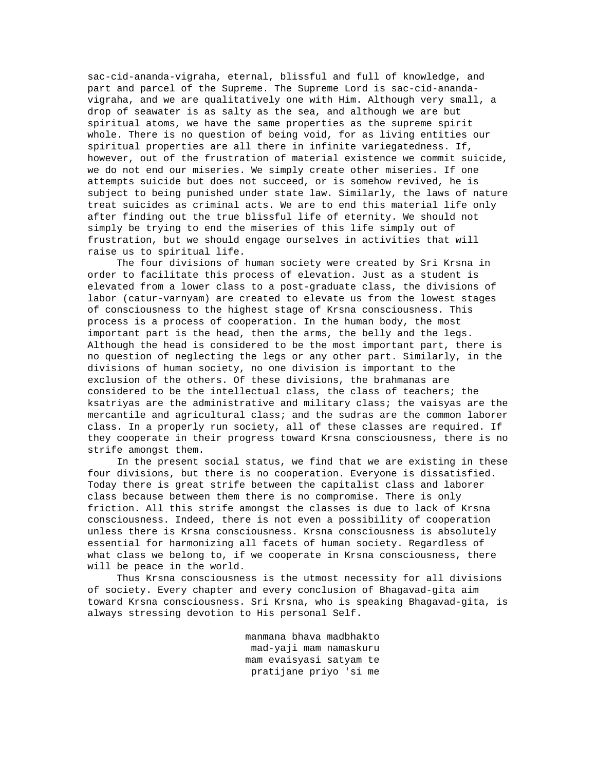sac-cid-ananda-vigraha, eternal, blissful and full of knowledge, and part and parcel of the Supreme. The Supreme Lord is sac-cid-anandavigraha, and we are qualitatively one with Him. Although very small, a drop of seawater is as salty as the sea, and although we are but spiritual atoms, we have the same properties as the supreme spirit whole. There is no question of being void, for as living entities our spiritual properties are all there in infinite variegatedness. If, however, out of the frustration of material existence we commit suicide, we do not end our miseries. We simply create other miseries. If one attempts suicide but does not succeed, or is somehow revived, he is subject to being punished under state law. Similarly, the laws of nature treat suicides as criminal acts. We are to end this material life only after finding out the true blissful life of eternity. We should not simply be trying to end the miseries of this life simply out of frustration, but we should engage ourselves in activities that will raise us to spiritual life.

 The four divisions of human society were created by Sri Krsna in order to facilitate this process of elevation. Just as a student is elevated from a lower class to a post-graduate class, the divisions of labor (catur-varnyam) are created to elevate us from the lowest stages of consciousness to the highest stage of Krsna consciousness. This process is a process of cooperation. In the human body, the most important part is the head, then the arms, the belly and the legs. Although the head is considered to be the most important part, there is no question of neglecting the legs or any other part. Similarly, in the divisions of human society, no one division is important to the exclusion of the others. Of these divisions, the brahmanas are considered to be the intellectual class, the class of teachers; the ksatriyas are the administrative and military class; the vaisyas are the mercantile and agricultural class; and the sudras are the common laborer class. In a properly run society, all of these classes are required. If they cooperate in their progress toward Krsna consciousness, there is no strife amongst them.

 In the present social status, we find that we are existing in these four divisions, but there is no cooperation. Everyone is dissatisfied. Today there is great strife between the capitalist class and laborer class because between them there is no compromise. There is only friction. All this strife amongst the classes is due to lack of Krsna consciousness. Indeed, there is not even a possibility of cooperation unless there is Krsna consciousness. Krsna consciousness is absolutely essential for harmonizing all facets of human society. Regardless of what class we belong to, if we cooperate in Krsna consciousness, there will be peace in the world.

 Thus Krsna consciousness is the utmost necessity for all divisions of society. Every chapter and every conclusion of Bhagavad-gita aim toward Krsna consciousness. Sri Krsna, who is speaking Bhagavad-gita, is always stressing devotion to His personal Self.

> manmana bhava madbhakto mad-yaji mam namaskuru mam evaisyasi satyam te pratijane priyo 'si me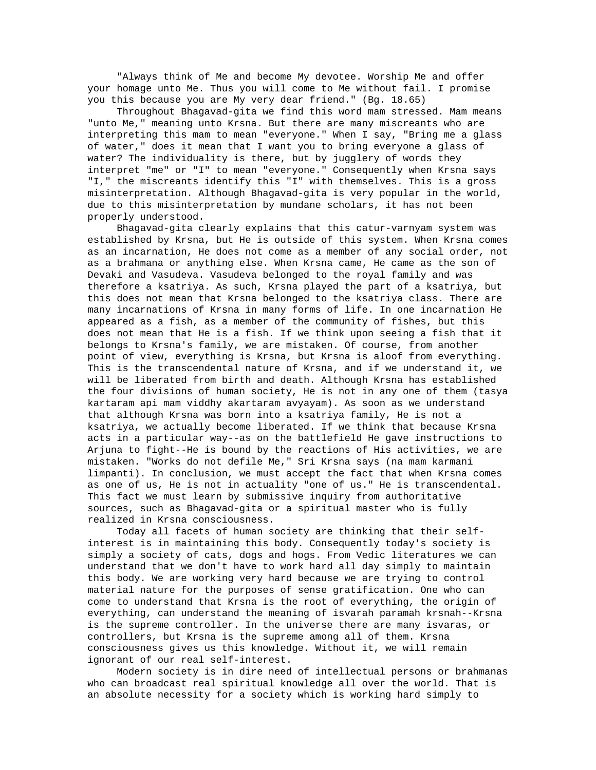"Always think of Me and become My devotee. Worship Me and offer your homage unto Me. Thus you will come to Me without fail. I promise you this because you are My very dear friend." (Bg. 18.65)

 Throughout Bhagavad-gita we find this word mam stressed. Mam means "unto Me," meaning unto Krsna. But there are many miscreants who are interpreting this mam to mean "everyone." When I say, "Bring me a glass of water," does it mean that I want you to bring everyone a glass of water? The individuality is there, but by jugglery of words they interpret "me" or "I" to mean "everyone." Consequently when Krsna says "I," the miscreants identify this "I" with themselves. This is a gross misinterpretation. Although Bhagavad-gita is very popular in the world, due to this misinterpretation by mundane scholars, it has not been properly understood.

 Bhagavad-gita clearly explains that this catur-varnyam system was established by Krsna, but He is outside of this system. When Krsna comes as an incarnation, He does not come as a member of any social order, not as a brahmana or anything else. When Krsna came, He came as the son of Devaki and Vasudeva. Vasudeva belonged to the royal family and was therefore a ksatriya. As such, Krsna played the part of a ksatriya, but this does not mean that Krsna belonged to the ksatriya class. There are many incarnations of Krsna in many forms of life. In one incarnation He appeared as a fish, as a member of the community of fishes, but this does not mean that He is a fish. If we think upon seeing a fish that it belongs to Krsna's family, we are mistaken. Of course, from another point of view, everything is Krsna, but Krsna is aloof from everything. This is the transcendental nature of Krsna, and if we understand it, we will be liberated from birth and death. Although Krsna has established the four divisions of human society, He is not in any one of them (tasya kartaram api mam viddhy akartaram avyayam). As soon as we understand that although Krsna was born into a ksatriya family, He is not a ksatriya, we actually become liberated. If we think that because Krsna acts in a particular way--as on the battlefield He gave instructions to Arjuna to fight--He is bound by the reactions of His activities, we are mistaken. "Works do not defile Me," Sri Krsna says (na mam karmani limpanti). In conclusion, we must accept the fact that when Krsna comes as one of us, He is not in actuality "one of us." He is transcendental. This fact we must learn by submissive inquiry from authoritative sources, such as Bhagavad-gita or a spiritual master who is fully realized in Krsna consciousness.

 Today all facets of human society are thinking that their selfinterest is in maintaining this body. Consequently today's society is simply a society of cats, dogs and hogs. From Vedic literatures we can understand that we don't have to work hard all day simply to maintain this body. We are working very hard because we are trying to control material nature for the purposes of sense gratification. One who can come to understand that Krsna is the root of everything, the origin of everything, can understand the meaning of isvarah paramah krsnah--Krsna is the supreme controller. In the universe there are many isvaras, or controllers, but Krsna is the supreme among all of them. Krsna consciousness gives us this knowledge. Without it, we will remain ignorant of our real self-interest.

 Modern society is in dire need of intellectual persons or brahmanas who can broadcast real spiritual knowledge all over the world. That is an absolute necessity for a society which is working hard simply to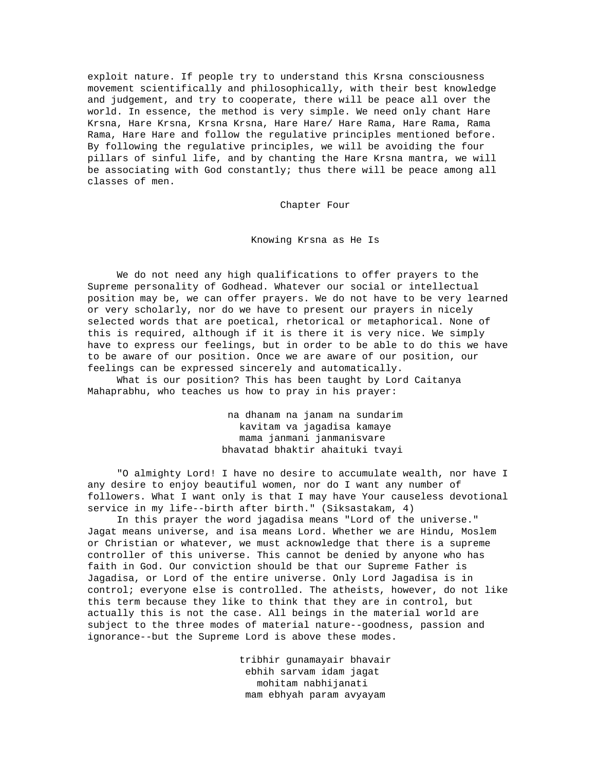exploit nature. If people try to understand this Krsna consciousness movement scientifically and philosophically, with their best knowledge and judgement, and try to cooperate, there will be peace all over the world. In essence, the method is very simple. We need only chant Hare Krsna, Hare Krsna, Krsna Krsna, Hare Hare/ Hare Rama, Hare Rama, Rama Rama, Hare Hare and follow the regulative principles mentioned before. By following the regulative principles, we will be avoiding the four pillars of sinful life, and by chanting the Hare Krsna mantra, we will be associating with God constantly; thus there will be peace among all classes of men.

Chapter Four

Knowing Krsna as He Is

 We do not need any high qualifications to offer prayers to the Supreme personality of Godhead. Whatever our social or intellectual position may be, we can offer prayers. We do not have to be very learned or very scholarly, nor do we have to present our prayers in nicely selected words that are poetical, rhetorical or metaphorical. None of this is required, although if it is there it is very nice. We simply have to express our feelings, but in order to be able to do this we have to be aware of our position. Once we are aware of our position, our feelings can be expressed sincerely and automatically.

 What is our position? This has been taught by Lord Caitanya Mahaprabhu, who teaches us how to pray in his prayer:

> na dhanam na janam na sundarim kavitam va jagadisa kamaye mama janmani janmanisvare bhavatad bhaktir ahaituki tvayi

 "O almighty Lord! I have no desire to accumulate wealth, nor have I any desire to enjoy beautiful women, nor do I want any number of followers. What I want only is that I may have Your causeless devotional service in my life--birth after birth." (Siksastakam, 4)

 In this prayer the word jagadisa means "Lord of the universe." Jagat means universe, and isa means Lord. Whether we are Hindu, Moslem or Christian or whatever, we must acknowledge that there is a supreme controller of this universe. This cannot be denied by anyone who has faith in God. Our conviction should be that our Supreme Father is Jagadisa, or Lord of the entire universe. Only Lord Jagadisa is in control; everyone else is controlled. The atheists, however, do not like this term because they like to think that they are in control, but actually this is not the case. All beings in the material world are subject to the three modes of material nature--goodness, passion and ignorance--but the Supreme Lord is above these modes.

> tribhir gunamayair bhavair ebhih sarvam idam jagat mohitam nabhijanati mam ebhyah param avyayam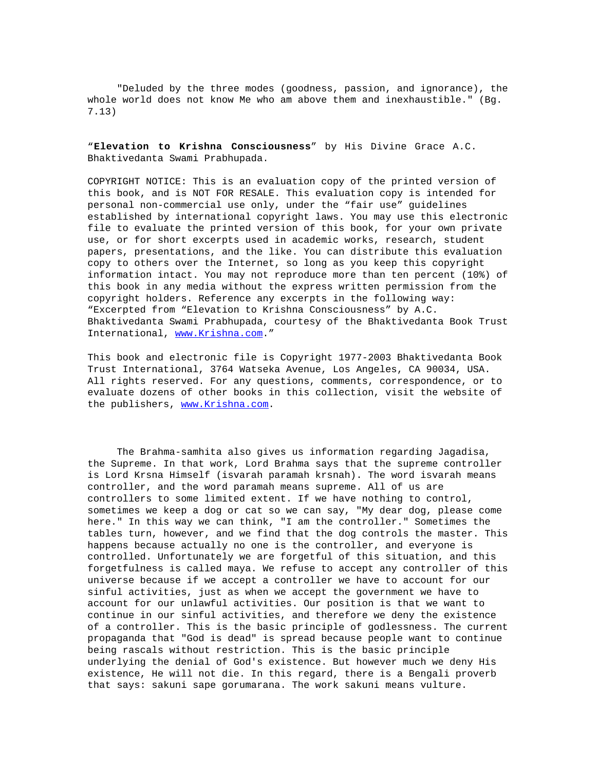"Deluded by the three modes (goodness, passion, and ignorance), the whole world does not know Me who am above them and inexhaustible." (Bg. 7.13)

"**Elevation to Krishna Consciousness**" by His Divine Grace A.C. Bhaktivedanta Swami Prabhupada.

COPYRIGHT NOTICE: This is an evaluation copy of the printed version of this book, and is NOT FOR RESALE. This evaluation copy is intended for personal non-commercial use only, under the "fair use" guidelines established by international copyright laws. You may use this electronic file to evaluate the printed version of this book, for your own private use, or for short excerpts used in academic works, research, student papers, presentations, and the like. You can distribute this evaluation copy to others over the Internet, so long as you keep this copyright information intact. You may not reproduce more than ten percent (10%) of this book in any media without the express written permission from the copyright holders. Reference any excerpts in the following way: "Excerpted from "Elevation to Krishna Consciousness" by A.C. Bhaktivedanta Swami Prabhupada, courtesy of the Bhaktivedanta Book Trust International, www.Krishna.com."

This book and electronic file is Copyright 1977-2003 Bhaktivedanta Book Trust International, 3764 Watseka Avenue, Los Angeles, CA 90034, USA. All rights reserved. For any questions, comments, correspondence, or to evaluate dozens of other books in this collection, visit the website of the publishers, www.Krishna.com.

 The Brahma-samhita also gives us information regarding Jagadisa, the Supreme. In that work, Lord Brahma says that the supreme controller is Lord Krsna Himself (isvarah paramah krsnah). The word isvarah means controller, and the word paramah means supreme. All of us are controllers to some limited extent. If we have nothing to control, sometimes we keep a dog or cat so we can say, "My dear dog, please come here." In this way we can think, "I am the controller." Sometimes the tables turn, however, and we find that the dog controls the master. This happens because actually no one is the controller, and everyone is controlled. Unfortunately we are forgetful of this situation, and this forgetfulness is called maya. We refuse to accept any controller of this universe because if we accept a controller we have to account for our sinful activities, just as when we accept the government we have to account for our unlawful activities. Our position is that we want to continue in our sinful activities, and therefore we deny the existence of a controller. This is the basic principle of godlessness. The current propaganda that "God is dead" is spread because people want to continue being rascals without restriction. This is the basic principle underlying the denial of God's existence. But however much we deny His existence, He will not die. In this regard, there is a Bengali proverb that says: sakuni sape gorumarana. The work sakuni means vulture.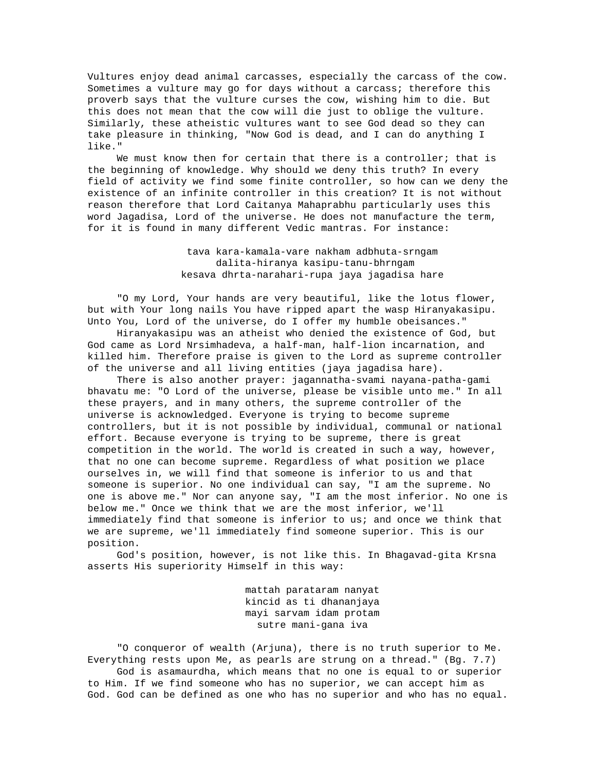Vultures enjoy dead animal carcasses, especially the carcass of the cow. Sometimes a vulture may go for days without a carcass; therefore this proverb says that the vulture curses the cow, wishing him to die. But this does not mean that the cow will die just to oblige the vulture. Similarly, these atheistic vultures want to see God dead so they can take pleasure in thinking, "Now God is dead, and I can do anything I like."

 We must know then for certain that there is a controller; that is the beginning of knowledge. Why should we deny this truth? In every field of activity we find some finite controller, so how can we deny the existence of an infinite controller in this creation? It is not without reason therefore that Lord Caitanya Mahaprabhu particularly uses this word Jagadisa, Lord of the universe. He does not manufacture the term, for it is found in many different Vedic mantras. For instance:

> tava kara-kamala-vare nakham adbhuta-srngam dalita-hiranya kasipu-tanu-bhrngam kesava dhrta-narahari-rupa jaya jagadisa hare

 "O my Lord, Your hands are very beautiful, like the lotus flower, but with Your long nails You have ripped apart the wasp Hiranyakasipu. Unto You, Lord of the universe, do I offer my humble obeisances."

 Hiranyakasipu was an atheist who denied the existence of God, but God came as Lord Nrsimhadeva, a half-man, half-lion incarnation, and killed him. Therefore praise is given to the Lord as supreme controller of the universe and all living entities (jaya jagadisa hare).

 There is also another prayer: jagannatha-svami nayana-patha-gami bhavatu me: "O Lord of the universe, please be visible unto me." In all these prayers, and in many others, the supreme controller of the universe is acknowledged. Everyone is trying to become supreme controllers, but it is not possible by individual, communal or national effort. Because everyone is trying to be supreme, there is great competition in the world. The world is created in such a way, however, that no one can become supreme. Regardless of what position we place ourselves in, we will find that someone is inferior to us and that someone is superior. No one individual can say, "I am the supreme. No one is above me." Nor can anyone say, "I am the most inferior. No one is below me." Once we think that we are the most inferior, we'll immediately find that someone is inferior to us; and once we think that we are supreme, we'll immediately find someone superior. This is our position.

 God's position, however, is not like this. In Bhagavad-gita Krsna asserts His superiority Himself in this way:

> mattah parataram nanyat kincid as ti dhananjaya mayi sarvam idam protam sutre mani-gana iva

 "O conqueror of wealth (Arjuna), there is no truth superior to Me. Everything rests upon Me, as pearls are strung on a thread." (Bg. 7.7)

 God is asamaurdha, which means that no one is equal to or superior to Him. If we find someone who has no superior, we can accept him as God. God can be defined as one who has no superior and who has no equal.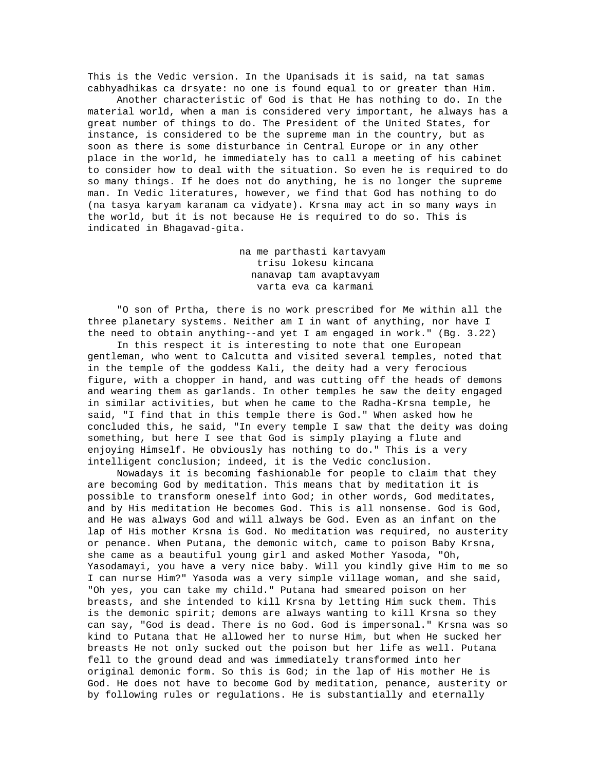This is the Vedic version. In the Upanisads it is said, na tat samas cabhyadhikas ca drsyate: no one is found equal to or greater than Him.

 Another characteristic of God is that He has nothing to do. In the material world, when a man is considered very important, he always has a great number of things to do. The President of the United States, for instance, is considered to be the supreme man in the country, but as soon as there is some disturbance in Central Europe or in any other place in the world, he immediately has to call a meeting of his cabinet to consider how to deal with the situation. So even he is required to do so many things. If he does not do anything, he is no longer the supreme man. In Vedic literatures, however, we find that God has nothing to do (na tasya karyam karanam ca vidyate). Krsna may act in so many ways in the world, but it is not because He is required to do so. This is indicated in Bhagavad-gita.

> na me parthasti kartavyam trisu lokesu kincana nanavap tam avaptavyam varta eva ca karmani

 "O son of Prtha, there is no work prescribed for Me within all the three planetary systems. Neither am I in want of anything, nor have I the need to obtain anything--and yet I am engaged in work." (Bg. 3.22)

 In this respect it is interesting to note that one European gentleman, who went to Calcutta and visited several temples, noted that in the temple of the goddess Kali, the deity had a very ferocious figure, with a chopper in hand, and was cutting off the heads of demons and wearing them as garlands. In other temples he saw the deity engaged in similar activities, but when he came to the Radha-Krsna temple, he said, "I find that in this temple there is God." When asked how he concluded this, he said, "In every temple I saw that the deity was doing something, but here I see that God is simply playing a flute and enjoying Himself. He obviously has nothing to do." This is a very intelligent conclusion; indeed, it is the Vedic conclusion.

 Nowadays it is becoming fashionable for people to claim that they are becoming God by meditation. This means that by meditation it is possible to transform oneself into God; in other words, God meditates, and by His meditation He becomes God. This is all nonsense. God is God, and He was always God and will always be God. Even as an infant on the lap of His mother Krsna is God. No meditation was required, no austerity or penance. When Putana, the demonic witch, came to poison Baby Krsna, she came as a beautiful young girl and asked Mother Yasoda, "Oh, Yasodamayi, you have a very nice baby. Will you kindly give Him to me so I can nurse Him?" Yasoda was a very simple village woman, and she said, "Oh yes, you can take my child." Putana had smeared poison on her breasts, and she intended to kill Krsna by letting Him suck them. This is the demonic spirit; demons are always wanting to kill Krsna so they can say, "God is dead. There is no God. God is impersonal." Krsna was so kind to Putana that He allowed her to nurse Him, but when He sucked her breasts He not only sucked out the poison but her life as well. Putana fell to the ground dead and was immediately transformed into her original demonic form. So this is God; in the lap of His mother He is God. He does not have to become God by meditation, penance, austerity or by following rules or regulations. He is substantially and eternally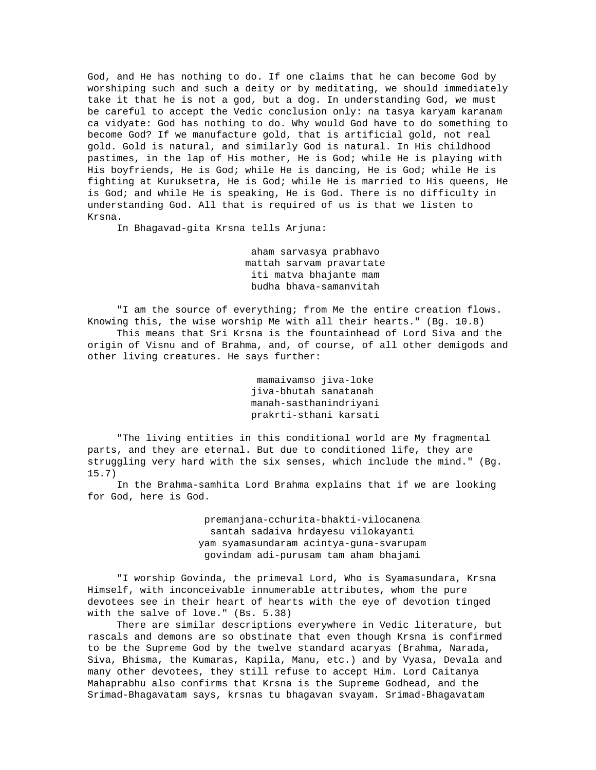God, and He has nothing to do. If one claims that he can become God by worshiping such and such a deity or by meditating, we should immediately take it that he is not a god, but a dog. In understanding God, we must be careful to accept the Vedic conclusion only: na tasya karyam karanam ca vidyate: God has nothing to do. Why would God have to do something to become God? If we manufacture gold, that is artificial gold, not real gold. Gold is natural, and similarly God is natural. In His childhood pastimes, in the lap of His mother, He is God; while He is playing with His boyfriends, He is God; while He is dancing, He is God; while He is fighting at Kuruksetra, He is God; while He is married to His queens, He is God; and while He is speaking, He is God. There is no difficulty in understanding God. All that is required of us is that we listen to Krsna.

In Bhagavad-gita Krsna tells Arjuna:

 aham sarvasya prabhavo mattah sarvam pravartate iti matva bhajante mam budha bhava-samanvitah

 "I am the source of everything; from Me the entire creation flows. Knowing this, the wise worship Me with all their hearts." (Bg. 10.8) This means that Sri Krsna is the fountainhead of Lord Siva and the origin of Visnu and of Brahma, and, of course, of all other demigods and other living creatures. He says further:

> mamaivamso jiva-loke jiva-bhutah sanatanah manah-sasthanindriyani prakrti-sthani karsati

 "The living entities in this conditional world are My fragmental parts, and they are eternal. But due to conditioned life, they are struggling very hard with the six senses, which include the mind." (Bg. 15.7)

 In the Brahma-samhita Lord Brahma explains that if we are looking for God, here is God.

> premanjana-cchurita-bhakti-vilocanena santah sadaiva hrdayesu vilokayanti yam syamasundaram acintya-guna-svarupam govindam adi-purusam tam aham bhajami

 "I worship Govinda, the primeval Lord, Who is Syamasundara, Krsna Himself, with inconceivable innumerable attributes, whom the pure devotees see in their heart of hearts with the eye of devotion tinged with the salve of love." (Bs. 5.38)

 There are similar descriptions everywhere in Vedic literature, but rascals and demons are so obstinate that even though Krsna is confirmed to be the Supreme God by the twelve standard acaryas (Brahma, Narada, Siva, Bhisma, the Kumaras, Kapila, Manu, etc.) and by Vyasa, Devala and many other devotees, they still refuse to accept Him. Lord Caitanya Mahaprabhu also confirms that Krsna is the Supreme Godhead, and the Srimad-Bhagavatam says, krsnas tu bhagavan svayam. Srimad-Bhagavatam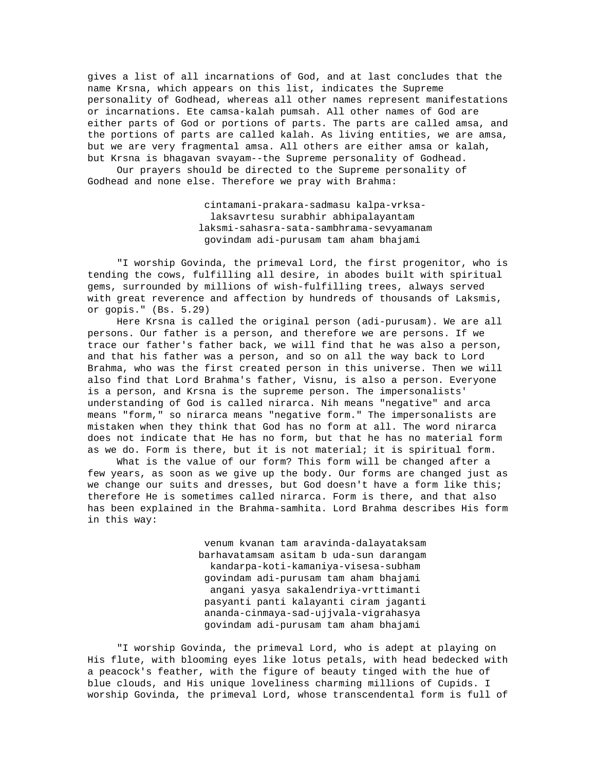gives a list of all incarnations of God, and at last concludes that the name Krsna, which appears on this list, indicates the Supreme personality of Godhead, whereas all other names represent manifestations or incarnations. Ete camsa-kalah pumsah. All other names of God are either parts of God or portions of parts. The parts are called amsa, and the portions of parts are called kalah. As living entities, we are amsa, but we are very fragmental amsa. All others are either amsa or kalah, but Krsna is bhagavan svayam--the Supreme personality of Godhead.

 Our prayers should be directed to the Supreme personality of Godhead and none else. Therefore we pray with Brahma:

> cintamani-prakara-sadmasu kalpa-vrksa laksavrtesu surabhir abhipalayantam laksmi-sahasra-sata-sambhrama-sevyamanam govindam adi-purusam tam aham bhajami

 "I worship Govinda, the primeval Lord, the first progenitor, who is tending the cows, fulfilling all desire, in abodes built with spiritual gems, surrounded by millions of wish-fulfilling trees, always served with great reverence and affection by hundreds of thousands of Laksmis, or gopis." (Bs. 5.29)

 Here Krsna is called the original person (adi-purusam). We are all persons. Our father is a person, and therefore we are persons. If we trace our father's father back, we will find that he was also a person, and that his father was a person, and so on all the way back to Lord Brahma, who was the first created person in this universe. Then we will also find that Lord Brahma's father, Visnu, is also a person. Everyone is a person, and Krsna is the supreme person. The impersonalists' understanding of God is called nirarca. Nih means "negative" and arca means "form," so nirarca means "negative form." The impersonalists are mistaken when they think that God has no form at all. The word nirarca does not indicate that He has no form, but that he has no material form as we do. Form is there, but it is not material; it is spiritual form.

 What is the value of our form? This form will be changed after a few years, as soon as we give up the body. Our forms are changed just as we change our suits and dresses, but God doesn't have a form like this; therefore He is sometimes called nirarca. Form is there, and that also has been explained in the Brahma-samhita. Lord Brahma describes His form in this way:

> venum kvanan tam aravinda-dalayataksam barhavatamsam asitam b uda-sun darangam kandarpa-koti-kamaniya-visesa-subham govindam adi-purusam tam aham bhajami angani yasya sakalendriya-vrttimanti pasyanti panti kalayanti ciram jaganti ananda-cinmaya-sad-ujjvala-vigrahasya govindam adi-purusam tam aham bhajami

 "I worship Govinda, the primeval Lord, who is adept at playing on His flute, with blooming eyes like lotus petals, with head bedecked with a peacock's feather, with the figure of beauty tinged with the hue of blue clouds, and His unique loveliness charming millions of Cupids. I worship Govinda, the primeval Lord, whose transcendental form is full of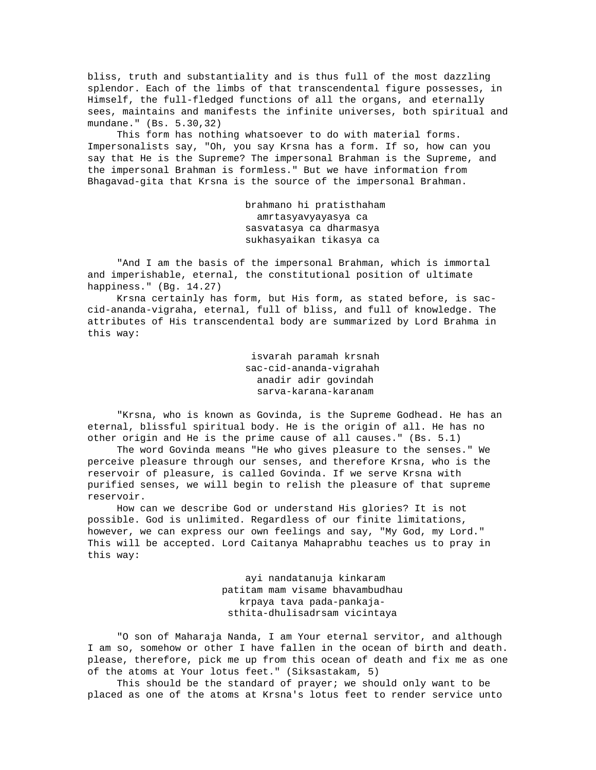bliss, truth and substantiality and is thus full of the most dazzling splendor. Each of the limbs of that transcendental figure possesses, in Himself, the full-fledged functions of all the organs, and eternally sees, maintains and manifests the infinite universes, both spiritual and mundane." (Bs. 5.30,32)

 This form has nothing whatsoever to do with material forms. Impersonalists say, "Oh, you say Krsna has a form. If so, how can you say that He is the Supreme? The impersonal Brahman is the Supreme, and the impersonal Brahman is formless." But we have information from Bhagavad-gita that Krsna is the source of the impersonal Brahman.

> brahmano hi pratisthaham amrtasyavyayasya ca sasvatasya ca dharmasya sukhasyaikan tikasya ca

 "And I am the basis of the impersonal Brahman, which is immortal and imperishable, eternal, the constitutional position of ultimate happiness." (Bg. 14.27)

 Krsna certainly has form, but His form, as stated before, is saccid-ananda-vigraha, eternal, full of bliss, and full of knowledge. The attributes of His transcendental body are summarized by Lord Brahma in this way:

> isvarah paramah krsnah sac-cid-ananda-vigrahah anadir adir govindah sarva-karana-karanam

 "Krsna, who is known as Govinda, is the Supreme Godhead. He has an eternal, blissful spiritual body. He is the origin of all. He has no other origin and He is the prime cause of all causes." (Bs. 5.1)

 The word Govinda means "He who gives pleasure to the senses." We perceive pleasure through our senses, and therefore Krsna, who is the reservoir of pleasure, is called Govinda. If we serve Krsna with purified senses, we will begin to relish the pleasure of that supreme reservoir.

 How can we describe God or understand His glories? It is not possible. God is unlimited. Regardless of our finite limitations, however, we can express our own feelings and say, "My God, my Lord." This will be accepted. Lord Caitanya Mahaprabhu teaches us to pray in this way:

> ayi nandatanuja kinkaram patitam mam visame bhavambudhau krpaya tava pada-pankaja sthita-dhulisadrsam vicintaya

 "O son of Maharaja Nanda, I am Your eternal servitor, and although I am so, somehow or other I have fallen in the ocean of birth and death. please, therefore, pick me up from this ocean of death and fix me as one of the atoms at Your lotus feet." (Siksastakam, 5)

This should be the standard of prayer; we should only want to be placed as one of the atoms at Krsna's lotus feet to render service unto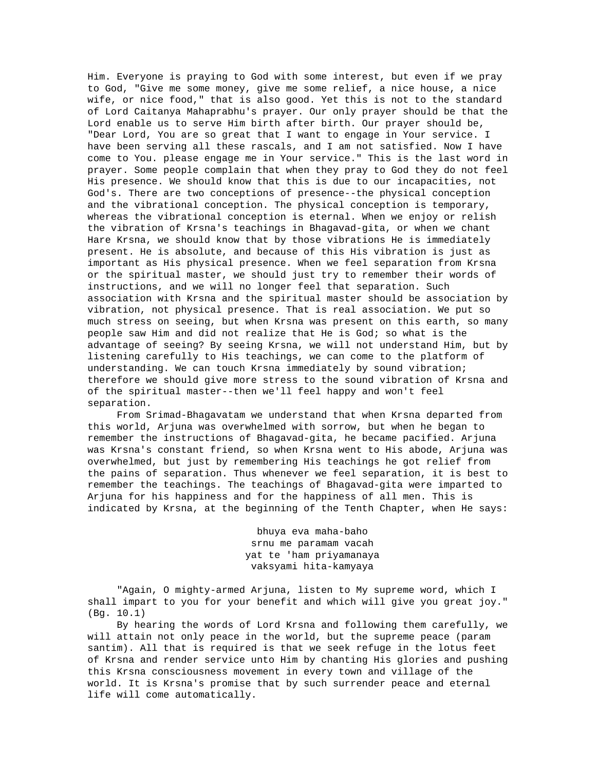Him. Everyone is praying to God with some interest, but even if we pray to God, "Give me some money, give me some relief, a nice house, a nice wife, or nice food," that is also good. Yet this is not to the standard of Lord Caitanya Mahaprabhu's prayer. Our only prayer should be that the Lord enable us to serve Him birth after birth. Our prayer should be, "Dear Lord, You are so great that I want to engage in Your service. I have been serving all these rascals, and I am not satisfied. Now I have come to You. please engage me in Your service." This is the last word in prayer. Some people complain that when they pray to God they do not feel His presence. We should know that this is due to our incapacities, not God's. There are two conceptions of presence--the physical conception and the vibrational conception. The physical conception is temporary, whereas the vibrational conception is eternal. When we enjoy or relish the vibration of Krsna's teachings in Bhagavad-gita, or when we chant Hare Krsna, we should know that by those vibrations He is immediately present. He is absolute, and because of this His vibration is just as important as His physical presence. When we feel separation from Krsna or the spiritual master, we should just try to remember their words of instructions, and we will no longer feel that separation. Such association with Krsna and the spiritual master should be association by vibration, not physical presence. That is real association. We put so much stress on seeing, but when Krsna was present on this earth, so many people saw Him and did not realize that He is God; so what is the advantage of seeing? By seeing Krsna, we will not understand Him, but by listening carefully to His teachings, we can come to the platform of understanding. We can touch Krsna immediately by sound vibration; therefore we should give more stress to the sound vibration of Krsna and of the spiritual master--then we'll feel happy and won't feel separation.

 From Srimad-Bhagavatam we understand that when Krsna departed from this world, Arjuna was overwhelmed with sorrow, but when he began to remember the instructions of Bhagavad-gita, he became pacified. Arjuna was Krsna's constant friend, so when Krsna went to His abode, Arjuna was overwhelmed, but just by remembering His teachings he got relief from the pains of separation. Thus whenever we feel separation, it is best to remember the teachings. The teachings of Bhagavad-gita were imparted to Arjuna for his happiness and for the happiness of all men. This is indicated by Krsna, at the beginning of the Tenth Chapter, when He says:

> bhuya eva maha-baho srnu me paramam vacah yat te 'ham priyamanaya vaksyami hita-kamyaya

 "Again, O mighty-armed Arjuna, listen to My supreme word, which I shall impart to you for your benefit and which will give you great joy." (Bg. 10.1)

 By hearing the words of Lord Krsna and following them carefully, we will attain not only peace in the world, but the supreme peace (param santim). All that is required is that we seek refuge in the lotus feet of Krsna and render service unto Him by chanting His glories and pushing this Krsna consciousness movement in every town and village of the world. It is Krsna's promise that by such surrender peace and eternal life will come automatically.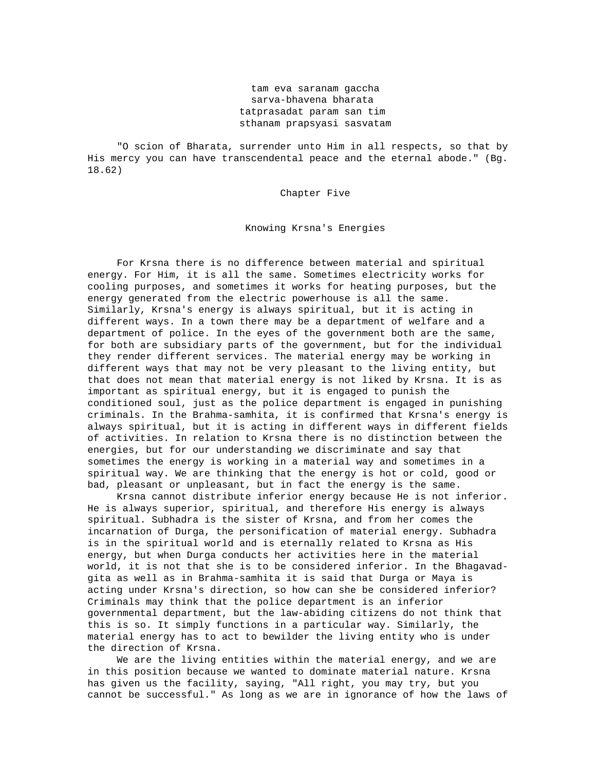## tam eva saranam gaccha sarva-bhavena bharata tatprasadat param san tim sthanam prapsyasi sasvatam

 "O scion of Bharata, surrender unto Him in all respects, so that by His mercy you can have transcendental peace and the eternal abode." (Bg. 18.62)

Chapter Five

Knowing Krsna's Energies

 For Krsna there is no difference between material and spiritual energy. For Him, it is all the same. Sometimes electricity works for cooling purposes, and sometimes it works for heating purposes, but the energy generated from the electric powerhouse is all the same. Similarly, Krsna's energy is always spiritual, but it is acting in different ways. In a town there may be a department of welfare and a department of police. In the eyes of the government both are the same, for both are subsidiary parts of the government, but for the individual they render different services. The material energy may be working in different ways that may not be very pleasant to the living entity, but that does not mean that material energy is not liked by Krsna. It is as important as spiritual energy, but it is engaged to punish the conditioned soul, just as the police department is engaged in punishing criminals. In the Brahma-samhita, it is confirmed that Krsna's energy is always spiritual, but it is acting in different ways in different fields of activities. In relation to Krsna there is no distinction between the energies, but for our understanding we discriminate and say that sometimes the energy is working in a material way and sometimes in a spiritual way. We are thinking that the energy is hot or cold, good or bad, pleasant or unpleasant, but in fact the energy is the same.

 Krsna cannot distribute inferior energy because He is not inferior. He is always superior, spiritual, and therefore His energy is always spiritual. Subhadra is the sister of Krsna, and from her comes the incarnation of Durga, the personification of material energy. Subhadra is in the spiritual world and is eternally related to Krsna as His energy, but when Durga conducts her activities here in the material world, it is not that she is to be considered inferior. In the Bhagavadgita as well as in Brahma-samhita it is said that Durga or Maya is acting under Krsna's direction, so how can she be considered inferior? Criminals may think that the police department is an inferior governmental department, but the law-abiding citizens do not think that this is so. It simply functions in a particular way. Similarly, the material energy has to act to bewilder the living entity who is under the direction of Krsna.

 We are the living entities within the material energy, and we are in this position because we wanted to dominate material nature. Krsna has given us the facility, saying, "All right, you may try, but you cannot be successful." As long as we are in ignorance of how the laws of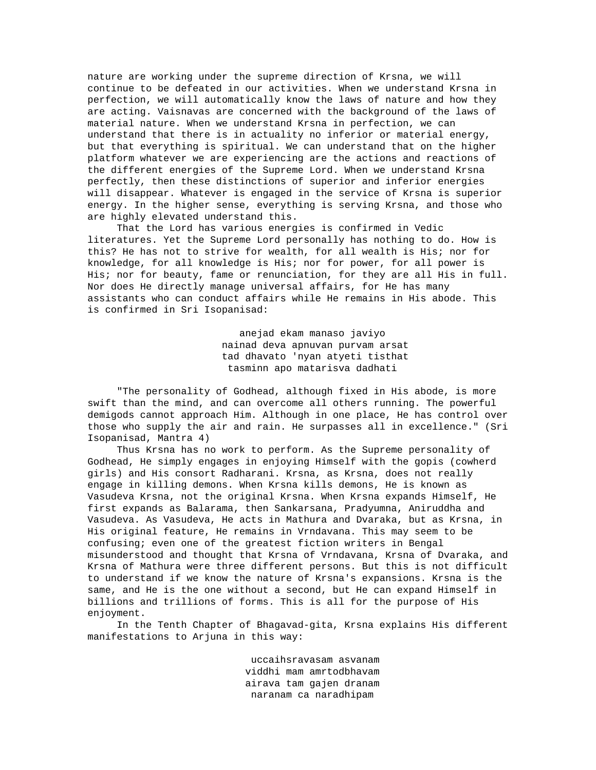nature are working under the supreme direction of Krsna, we will continue to be defeated in our activities. When we understand Krsna in perfection, we will automatically know the laws of nature and how they are acting. Vaisnavas are concerned with the background of the laws of material nature. When we understand Krsna in perfection, we can understand that there is in actuality no inferior or material energy, but that everything is spiritual. We can understand that on the higher platform whatever we are experiencing are the actions and reactions of the different energies of the Supreme Lord. When we understand Krsna perfectly, then these distinctions of superior and inferior energies will disappear. Whatever is engaged in the service of Krsna is superior energy. In the higher sense, everything is serving Krsna, and those who are highly elevated understand this.

 That the Lord has various energies is confirmed in Vedic literatures. Yet the Supreme Lord personally has nothing to do. How is this? He has not to strive for wealth, for all wealth is His; nor for knowledge, for all knowledge is His; nor for power, for all power is His; nor for beauty, fame or renunciation, for they are all His in full. Nor does He directly manage universal affairs, for He has many assistants who can conduct affairs while He remains in His abode. This is confirmed in Sri Isopanisad:

> anejad ekam manaso javiyo nainad deva apnuvan purvam arsat tad dhavato 'nyan atyeti tisthat tasminn apo matarisva dadhati

 "The personality of Godhead, although fixed in His abode, is more swift than the mind, and can overcome all others running. The powerful demigods cannot approach Him. Although in one place, He has control over those who supply the air and rain. He surpasses all in excellence." (Sri Isopanisad, Mantra 4)

 Thus Krsna has no work to perform. As the Supreme personality of Godhead, He simply engages in enjoying Himself with the gopis (cowherd girls) and His consort Radharani. Krsna, as Krsna, does not really engage in killing demons. When Krsna kills demons, He is known as Vasudeva Krsna, not the original Krsna. When Krsna expands Himself, He first expands as Balarama, then Sankarsana, Pradyumna, Aniruddha and Vasudeva. As Vasudeva, He acts in Mathura and Dvaraka, but as Krsna, in His original feature, He remains in Vrndavana. This may seem to be confusing; even one of the greatest fiction writers in Bengal misunderstood and thought that Krsna of Vrndavana, Krsna of Dvaraka, and Krsna of Mathura were three different persons. But this is not difficult to understand if we know the nature of Krsna's expansions. Krsna is the same, and He is the one without a second, but He can expand Himself in billions and trillions of forms. This is all for the purpose of His enjoyment.

 In the Tenth Chapter of Bhagavad-gita, Krsna explains His different manifestations to Arjuna in this way:

> uccaihsravasam asvanam viddhi mam amrtodbhavam airava tam gajen dranam naranam ca naradhipam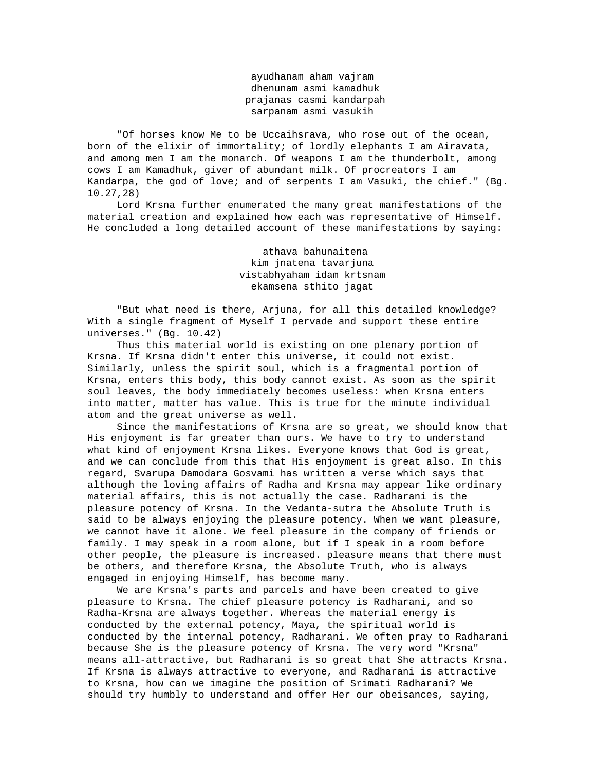ayudhanam aham vajram dhenunam asmi kamadhuk prajanas casmi kandarpah sarpanam asmi vasukih

 "Of horses know Me to be Uccaihsrava, who rose out of the ocean, born of the elixir of immortality; of lordly elephants I am Airavata, and among men I am the monarch. Of weapons I am the thunderbolt, among cows I am Kamadhuk, giver of abundant milk. Of procreators I am Kandarpa, the god of love; and of serpents I am Vasuki, the chief." (Bg. 10.27,28)

 Lord Krsna further enumerated the many great manifestations of the material creation and explained how each was representative of Himself. He concluded a long detailed account of these manifestations by saying:

> athava bahunaitena kim jnatena tavarjuna vistabhyaham idam krtsnam ekamsena sthito jagat

 "But what need is there, Arjuna, for all this detailed knowledge? With a single fragment of Myself I pervade and support these entire universes." (Bg. 10.42)

 Thus this material world is existing on one plenary portion of Krsna. If Krsna didn't enter this universe, it could not exist. Similarly, unless the spirit soul, which is a fragmental portion of Krsna, enters this body, this body cannot exist. As soon as the spirit soul leaves, the body immediately becomes useless: when Krsna enters into matter, matter has value. This is true for the minute individual atom and the great universe as well.

 Since the manifestations of Krsna are so great, we should know that His enjoyment is far greater than ours. We have to try to understand what kind of enjoyment Krsna likes. Everyone knows that God is great, and we can conclude from this that His enjoyment is great also. In this regard, Svarupa Damodara Gosvami has written a verse which says that although the loving affairs of Radha and Krsna may appear like ordinary material affairs, this is not actually the case. Radharani is the pleasure potency of Krsna. In the Vedanta-sutra the Absolute Truth is said to be always enjoying the pleasure potency. When we want pleasure, we cannot have it alone. We feel pleasure in the company of friends or family. I may speak in a room alone, but if I speak in a room before other people, the pleasure is increased. pleasure means that there must be others, and therefore Krsna, the Absolute Truth, who is always engaged in enjoying Himself, has become many.

 We are Krsna's parts and parcels and have been created to give pleasure to Krsna. The chief pleasure potency is Radharani, and so Radha-Krsna are always together. Whereas the material energy is conducted by the external potency, Maya, the spiritual world is conducted by the internal potency, Radharani. We often pray to Radharani because She is the pleasure potency of Krsna. The very word "Krsna" means all-attractive, but Radharani is so great that She attracts Krsna. If Krsna is always attractive to everyone, and Radharani is attractive to Krsna, how can we imagine the position of Srimati Radharani? We should try humbly to understand and offer Her our obeisances, saying,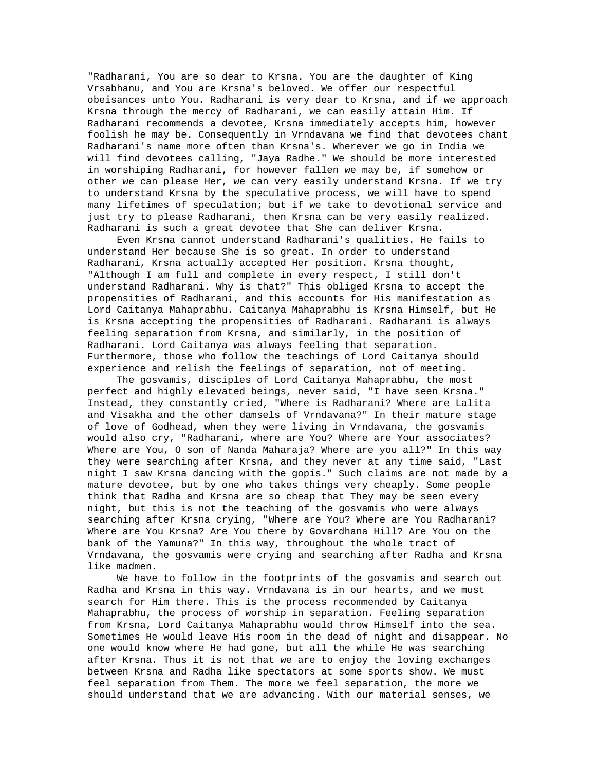"Radharani, You are so dear to Krsna. You are the daughter of King Vrsabhanu, and You are Krsna's beloved. We offer our respectful obeisances unto You. Radharani is very dear to Krsna, and if we approach Krsna through the mercy of Radharani, we can easily attain Him. If Radharani recommends a devotee, Krsna immediately accepts him, however foolish he may be. Consequently in Vrndavana we find that devotees chant Radharani's name more often than Krsna's. Wherever we go in India we will find devotees calling, "Jaya Radhe." We should be more interested in worshiping Radharani, for however fallen we may be, if somehow or other we can please Her, we can very easily understand Krsna. If we try to understand Krsna by the speculative process, we will have to spend many lifetimes of speculation; but if we take to devotional service and just try to please Radharani, then Krsna can be very easily realized. Radharani is such a great devotee that She can deliver Krsna.

 Even Krsna cannot understand Radharani's qualities. He fails to understand Her because She is so great. In order to understand Radharani, Krsna actually accepted Her position. Krsna thought, "Although I am full and complete in every respect, I still don't understand Radharani. Why is that?" This obliged Krsna to accept the propensities of Radharani, and this accounts for His manifestation as Lord Caitanya Mahaprabhu. Caitanya Mahaprabhu is Krsna Himself, but He is Krsna accepting the propensities of Radharani. Radharani is always feeling separation from Krsna, and similarly, in the position of Radharani. Lord Caitanya was always feeling that separation. Furthermore, those who follow the teachings of Lord Caitanya should experience and relish the feelings of separation, not of meeting.

 The gosvamis, disciples of Lord Caitanya Mahaprabhu, the most perfect and highly elevated beings, never said, "I have seen Krsna." Instead, they constantly cried, "Where is Radharani? Where are Lalita and Visakha and the other damsels of Vrndavana?" In their mature stage of love of Godhead, when they were living in Vrndavana, the gosvamis would also cry, "Radharani, where are You? Where are Your associates? Where are You, O son of Nanda Maharaja? Where are you all?" In this way they were searching after Krsna, and they never at any time said, "Last night I saw Krsna dancing with the gopis." Such claims are not made by a mature devotee, but by one who takes things very cheaply. Some people think that Radha and Krsna are so cheap that They may be seen every night, but this is not the teaching of the gosvamis who were always searching after Krsna crying, "Where are You? Where are You Radharani? Where are You Krsna? Are You there by Govardhana Hill? Are You on the bank of the Yamuna?" In this way, throughout the whole tract of Vrndavana, the gosvamis were crying and searching after Radha and Krsna like madmen.

 We have to follow in the footprints of the gosvamis and search out Radha and Krsna in this way. Vrndavana is in our hearts, and we must search for Him there. This is the process recommended by Caitanya Mahaprabhu, the process of worship in separation. Feeling separation from Krsna, Lord Caitanya Mahaprabhu would throw Himself into the sea. Sometimes He would leave His room in the dead of night and disappear. No one would know where He had gone, but all the while He was searching after Krsna. Thus it is not that we are to enjoy the loving exchanges between Krsna and Radha like spectators at some sports show. We must feel separation from Them. The more we feel separation, the more we should understand that we are advancing. With our material senses, we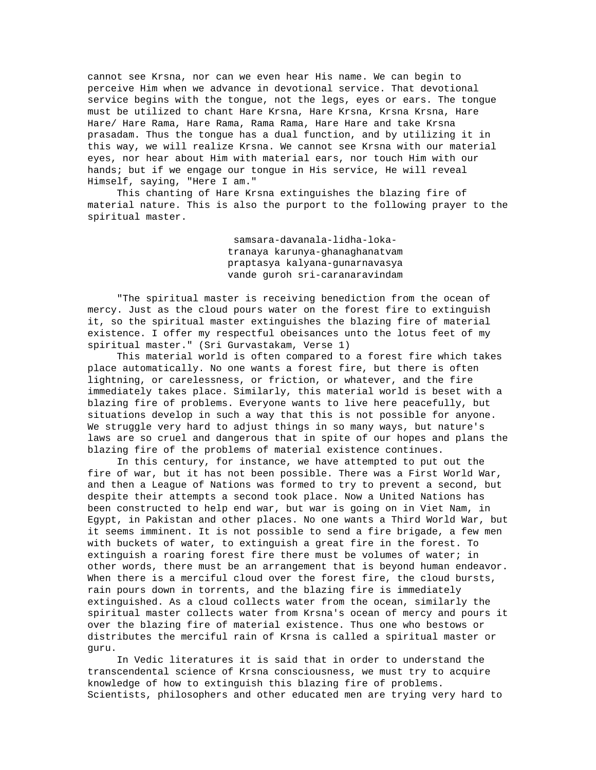cannot see Krsna, nor can we even hear His name. We can begin to perceive Him when we advance in devotional service. That devotional service begins with the tongue, not the legs, eyes or ears. The tongue must be utilized to chant Hare Krsna, Hare Krsna, Krsna Krsna, Hare Hare/ Hare Rama, Hare Rama, Rama Rama, Hare Hare and take Krsna prasadam. Thus the tongue has a dual function, and by utilizing it in this way, we will realize Krsna. We cannot see Krsna with our material eyes, nor hear about Him with material ears, nor touch Him with our hands; but if we engage our tongue in His service, He will reveal Himself, saying, "Here I am."

 This chanting of Hare Krsna extinguishes the blazing fire of material nature. This is also the purport to the following prayer to the spiritual master.

> samsara-davanala-lidha-loka tranaya karunya-ghanaghanatvam praptasya kalyana-gunarnavasya vande guroh sri-caranaravindam

 "The spiritual master is receiving benediction from the ocean of mercy. Just as the cloud pours water on the forest fire to extinguish it, so the spiritual master extinguishes the blazing fire of material existence. I offer my respectful obeisances unto the lotus feet of my spiritual master." (Sri Gurvastakam, Verse 1)

 This material world is often compared to a forest fire which takes place automatically. No one wants a forest fire, but there is often lightning, or carelessness, or friction, or whatever, and the fire immediately takes place. Similarly, this material world is beset with a blazing fire of problems. Everyone wants to live here peacefully, but situations develop in such a way that this is not possible for anyone. We struggle very hard to adjust things in so many ways, but nature's laws are so cruel and dangerous that in spite of our hopes and plans the blazing fire of the problems of material existence continues.

 In this century, for instance, we have attempted to put out the fire of war, but it has not been possible. There was a First World War, and then a League of Nations was formed to try to prevent a second, but despite their attempts a second took place. Now a United Nations has been constructed to help end war, but war is going on in Viet Nam, in Egypt, in Pakistan and other places. No one wants a Third World War, but it seems imminent. It is not possible to send a fire brigade, a few men with buckets of water, to extinguish a great fire in the forest. To extinguish a roaring forest fire there must be volumes of water; in other words, there must be an arrangement that is beyond human endeavor. When there is a merciful cloud over the forest fire, the cloud bursts, rain pours down in torrents, and the blazing fire is immediately extinguished. As a cloud collects water from the ocean, similarly the spiritual master collects water from Krsna's ocean of mercy and pours it over the blazing fire of material existence. Thus one who bestows or distributes the merciful rain of Krsna is called a spiritual master or guru.

 In Vedic literatures it is said that in order to understand the transcendental science of Krsna consciousness, we must try to acquire knowledge of how to extinguish this blazing fire of problems. Scientists, philosophers and other educated men are trying very hard to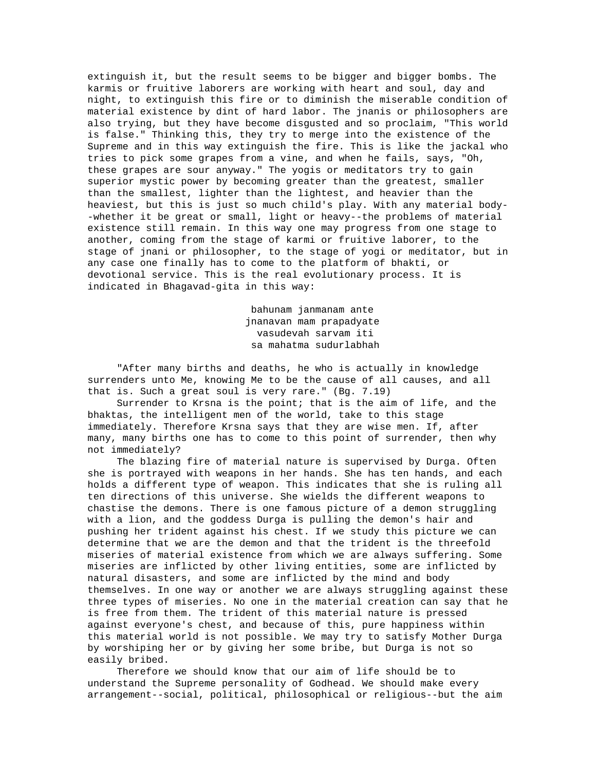extinguish it, but the result seems to be bigger and bigger bombs. The karmis or fruitive laborers are working with heart and soul, day and night, to extinguish this fire or to diminish the miserable condition of material existence by dint of hard labor. The jnanis or philosophers are also trying, but they have become disgusted and so proclaim, "This world is false." Thinking this, they try to merge into the existence of the Supreme and in this way extinguish the fire. This is like the jackal who tries to pick some grapes from a vine, and when he fails, says, "Oh, these grapes are sour anyway." The yogis or meditators try to gain superior mystic power by becoming greater than the greatest, smaller than the smallest, lighter than the lightest, and heavier than the heaviest, but this is just so much child's play. With any material body- -whether it be great or small, light or heavy--the problems of material existence still remain. In this way one may progress from one stage to another, coming from the stage of karmi or fruitive laborer, to the stage of jnani or philosopher, to the stage of yogi or meditator, but in any case one finally has to come to the platform of bhakti, or devotional service. This is the real evolutionary process. It is indicated in Bhagavad-gita in this way:

> bahunam janmanam ante jnanavan mam prapadyate vasudevah sarvam iti sa mahatma sudurlabhah

 "After many births and deaths, he who is actually in knowledge surrenders unto Me, knowing Me to be the cause of all causes, and all that is. Such a great soul is very rare." (Bg. 7.19)

 Surrender to Krsna is the point; that is the aim of life, and the bhaktas, the intelligent men of the world, take to this stage immediately. Therefore Krsna says that they are wise men. If, after many, many births one has to come to this point of surrender, then why not immediately?

 The blazing fire of material nature is supervised by Durga. Often she is portrayed with weapons in her hands. She has ten hands, and each holds a different type of weapon. This indicates that she is ruling all ten directions of this universe. She wields the different weapons to chastise the demons. There is one famous picture of a demon struggling with a lion, and the goddess Durga is pulling the demon's hair and pushing her trident against his chest. If we study this picture we can determine that we are the demon and that the trident is the threefold miseries of material existence from which we are always suffering. Some miseries are inflicted by other living entities, some are inflicted by natural disasters, and some are inflicted by the mind and body themselves. In one way or another we are always struggling against these three types of miseries. No one in the material creation can say that he is free from them. The trident of this material nature is pressed against everyone's chest, and because of this, pure happiness within this material world is not possible. We may try to satisfy Mother Durga by worshiping her or by giving her some bribe, but Durga is not so easily bribed.

 Therefore we should know that our aim of life should be to understand the Supreme personality of Godhead. We should make every arrangement--social, political, philosophical or religious--but the aim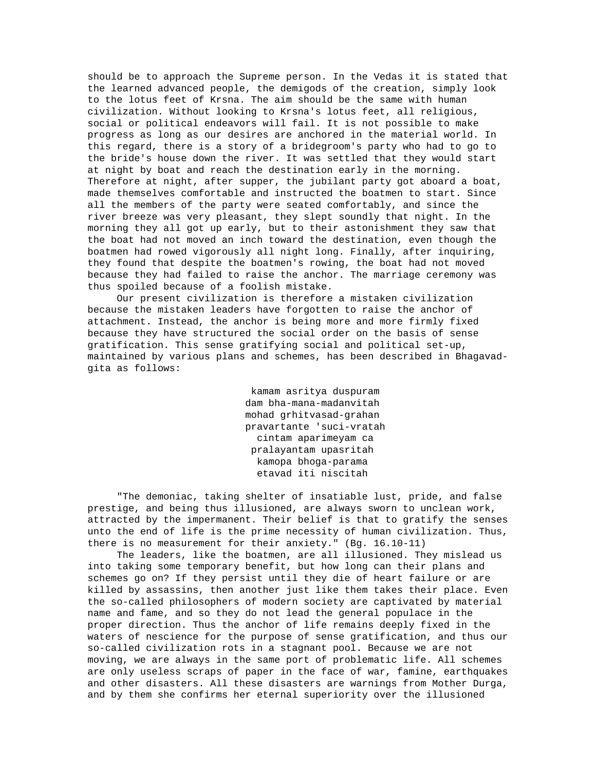should be to approach the Supreme person. In the Vedas it is stated that the learned advanced people, the demigods of the creation, simply look to the lotus feet of Krsna. The aim should be the same with human civilization. Without looking to Krsna's lotus feet, all religious, social or political endeavors will fail. It is not possible to make progress as long as our desires are anchored in the material world. In this regard, there is a story of a bridegroom's party who had to go to the bride's house down the river. It was settled that they would start at night by boat and reach the destination early in the morning. Therefore at night, after supper, the jubilant party got aboard a boat, made themselves comfortable and instructed the boatmen to start. Since all the members of the party were seated comfortably, and since the river breeze was very pleasant, they slept soundly that night. In the morning they all got up early, but to their astonishment they saw that the boat had not moved an inch toward the destination, even though the boatmen had rowed vigorously all night long. Finally, after inquiring, they found that despite the boatmen's rowing, the boat had not moved because they had failed to raise the anchor. The marriage ceremony was thus spoiled because of a foolish mistake.

 Our present civilization is therefore a mistaken civilization because the mistaken leaders have forgotten to raise the anchor of attachment. Instead, the anchor is being more and more firmly fixed because they have structured the social order on the basis of sense gratification. This sense gratifying social and political set-up, maintained by various plans and schemes, has been described in Bhagavadgita as follows:

> kamam asritya duspuram dam bha-mana-madanvitah mohad grhitvasad-grahan pravartante 'suci-vratah cintam aparimeyam ca pralayantam upasritah kamopa bhoga-parama etavad iti niscitah

 "The demoniac, taking shelter of insatiable lust, pride, and false prestige, and being thus illusioned, are always sworn to unclean work, attracted by the impermanent. Their belief is that to gratify the senses unto the end of life is the prime necessity of human civilization. Thus, there is no measurement for their anxiety." (Bg. 16.10-11)

 The leaders, like the boatmen, are all illusioned. They mislead us into taking some temporary benefit, but how long can their plans and schemes go on? If they persist until they die of heart failure or are killed by assassins, then another just like them takes their place. Even the so-called philosophers of modern society are captivated by material name and fame, and so they do not lead the general populace in the proper direction. Thus the anchor of life remains deeply fixed in the waters of nescience for the purpose of sense gratification, and thus our so-called civilization rots in a stagnant pool. Because we are not moving, we are always in the same port of problematic life. All schemes are only useless scraps of paper in the face of war, famine, earthquakes and other disasters. All these disasters are warnings from Mother Durga, and by them she confirms her eternal superiority over the illusioned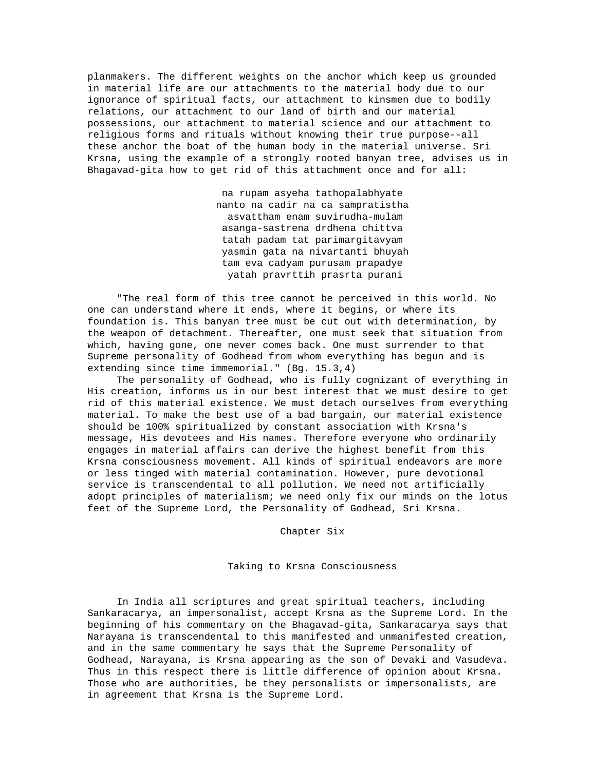planmakers. The different weights on the anchor which keep us grounded in material life are our attachments to the material body due to our ignorance of spiritual facts, our attachment to kinsmen due to bodily relations, our attachment to our land of birth and our material possessions, our attachment to material science and our attachment to religious forms and rituals without knowing their true purpose--all these anchor the boat of the human body in the material universe. Sri Krsna, using the example of a strongly rooted banyan tree, advises us in Bhagavad-gita how to get rid of this attachment once and for all:

> na rupam asyeha tathopalabhyate nanto na cadir na ca sampratistha asvattham enam suvirudha-mulam asanga-sastrena drdhena chittva tatah padam tat parimargitavyam yasmin gata na nivartanti bhuyah tam eva cadyam purusam prapadye yatah pravrttih prasrta purani

 "The real form of this tree cannot be perceived in this world. No one can understand where it ends, where it begins, or where its foundation is. This banyan tree must be cut out with determination, by the weapon of detachment. Thereafter, one must seek that situation from which, having gone, one never comes back. One must surrender to that Supreme personality of Godhead from whom everything has begun and is extending since time immemorial." (Bg. 15.3,4)

 The personality of Godhead, who is fully cognizant of everything in His creation, informs us in our best interest that we must desire to get rid of this material existence. We must detach ourselves from everything material. To make the best use of a bad bargain, our material existence should be 100% spiritualized by constant association with Krsna's message, His devotees and His names. Therefore everyone who ordinarily engages in material affairs can derive the highest benefit from this Krsna consciousness movement. All kinds of spiritual endeavors are more or less tinged with material contamination. However, pure devotional service is transcendental to all pollution. We need not artificially adopt principles of materialism; we need only fix our minds on the lotus feet of the Supreme Lord, the Personality of Godhead, Sri Krsna.

Chapter Six

## Taking to Krsna Consciousness

 In India all scriptures and great spiritual teachers, including Sankaracarya, an impersonalist, accept Krsna as the Supreme Lord. In the beginning of his commentary on the Bhagavad-gita, Sankaracarya says that Narayana is transcendental to this manifested and unmanifested creation, and in the same commentary he says that the Supreme Personality of Godhead, Narayana, is Krsna appearing as the son of Devaki and Vasudeva. Thus in this respect there is little difference of opinion about Krsna. Those who are authorities, be they personalists or impersonalists, are in agreement that Krsna is the Supreme Lord.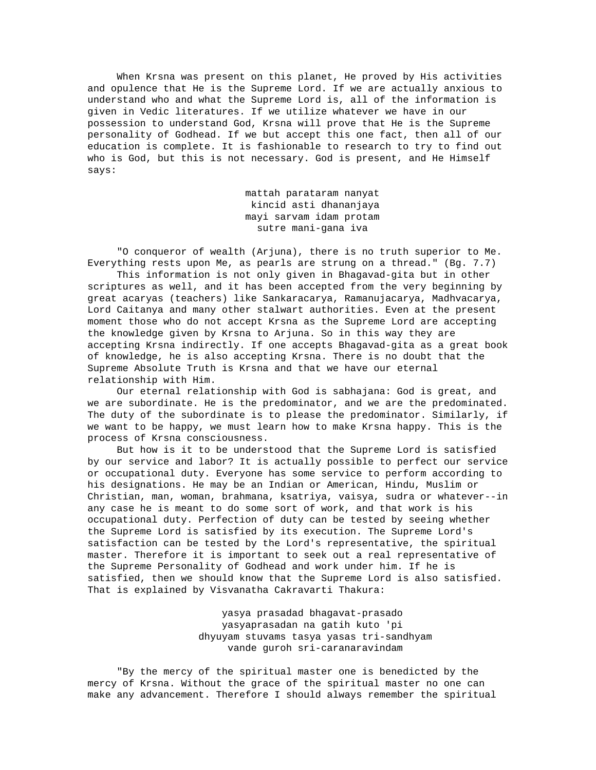When Krsna was present on this planet, He proved by His activities and opulence that He is the Supreme Lord. If we are actually anxious to understand who and what the Supreme Lord is, all of the information is given in Vedic literatures. If we utilize whatever we have in our possession to understand God, Krsna will prove that He is the Supreme personality of Godhead. If we but accept this one fact, then all of our education is complete. It is fashionable to research to try to find out who is God, but this is not necessary. God is present, and He Himself says:

> mattah parataram nanyat kincid asti dhananjaya mayi sarvam idam protam sutre mani-gana iva

 "O conqueror of wealth (Arjuna), there is no truth superior to Me. Everything rests upon Me, as pearls are strung on a thread." (Bg. 7.7)

 This information is not only given in Bhagavad-gita but in other scriptures as well, and it has been accepted from the very beginning by great acaryas (teachers) like Sankaracarya, Ramanujacarya, Madhvacarya, Lord Caitanya and many other stalwart authorities. Even at the present moment those who do not accept Krsna as the Supreme Lord are accepting the knowledge given by Krsna to Arjuna. So in this way they are accepting Krsna indirectly. If one accepts Bhagavad-gita as a great book of knowledge, he is also accepting Krsna. There is no doubt that the Supreme Absolute Truth is Krsna and that we have our eternal relationship with Him.

 Our eternal relationship with God is sabhajana: God is great, and we are subordinate. He is the predominator, and we are the predominated. The duty of the subordinate is to please the predominator. Similarly, if we want to be happy, we must learn how to make Krsna happy. This is the process of Krsna consciousness.

 But how is it to be understood that the Supreme Lord is satisfied by our service and labor? It is actually possible to perfect our service or occupational duty. Everyone has some service to perform according to his designations. He may be an Indian or American, Hindu, Muslim or Christian, man, woman, brahmana, ksatriya, vaisya, sudra or whatever--in any case he is meant to do some sort of work, and that work is his occupational duty. Perfection of duty can be tested by seeing whether the Supreme Lord is satisfied by its execution. The Supreme Lord's satisfaction can be tested by the Lord's representative, the spiritual master. Therefore it is important to seek out a real representative of the Supreme Personality of Godhead and work under him. If he is satisfied, then we should know that the Supreme Lord is also satisfied. That is explained by Visvanatha Cakravarti Thakura:

> yasya prasadad bhagavat-prasado yasyaprasadan na gatih kuto 'pi dhyuyam stuvams tasya yasas tri-sandhyam vande guroh sri-caranaravindam

 "By the mercy of the spiritual master one is benedicted by the mercy of Krsna. Without the grace of the spiritual master no one can make any advancement. Therefore I should always remember the spiritual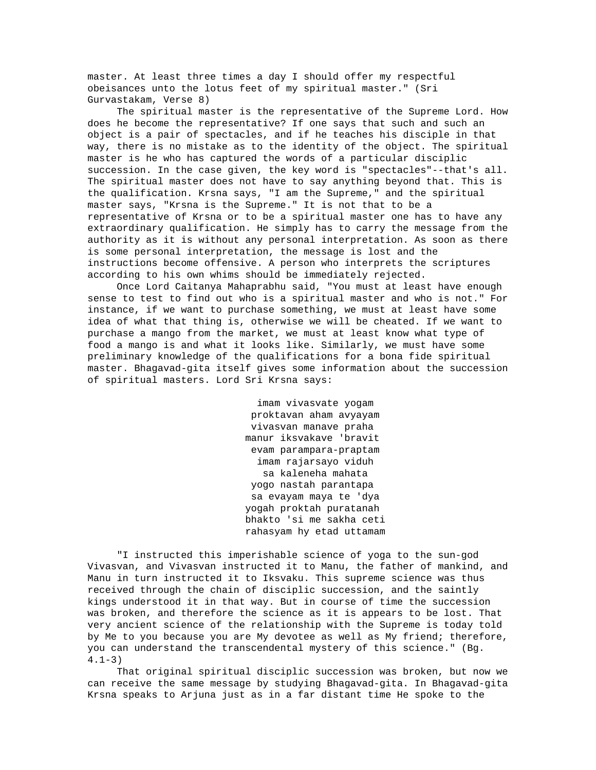master. At least three times a day I should offer my respectful obeisances unto the lotus feet of my spiritual master." (Sri Gurvastakam, Verse 8)

 The spiritual master is the representative of the Supreme Lord. How does he become the representative? If one says that such and such an object is a pair of spectacles, and if he teaches his disciple in that way, there is no mistake as to the identity of the object. The spiritual master is he who has captured the words of a particular disciplic succession. In the case given, the key word is "spectacles"--that's all. The spiritual master does not have to say anything beyond that. This is the qualification. Krsna says, "I am the Supreme," and the spiritual master says, "Krsna is the Supreme." It is not that to be a representative of Krsna or to be a spiritual master one has to have any extraordinary qualification. He simply has to carry the message from the authority as it is without any personal interpretation. As soon as there is some personal interpretation, the message is lost and the instructions become offensive. A person who interprets the scriptures according to his own whims should be immediately rejected.

 Once Lord Caitanya Mahaprabhu said, "You must at least have enough sense to test to find out who is a spiritual master and who is not." For instance, if we want to purchase something, we must at least have some idea of what that thing is, otherwise we will be cheated. If we want to purchase a mango from the market, we must at least know what type of food a mango is and what it looks like. Similarly, we must have some preliminary knowledge of the qualifications for a bona fide spiritual master. Bhagavad-gita itself gives some information about the succession of spiritual masters. Lord Sri Krsna says:

> imam vivasvate yogam proktavan aham avyayam vivasvan manave praha manur iksvakave 'bravit evam parampara-praptam imam rajarsayo viduh sa kaleneha mahata yogo nastah parantapa sa evayam maya te 'dya yogah proktah puratanah bhakto 'si me sakha ceti rahasyam hy etad uttamam

 "I instructed this imperishable science of yoga to the sun-god Vivasvan, and Vivasvan instructed it to Manu, the father of mankind, and Manu in turn instructed it to Iksvaku. This supreme science was thus received through the chain of disciplic succession, and the saintly kings understood it in that way. But in course of time the succession was broken, and therefore the science as it is appears to be lost. That very ancient science of the relationship with the Supreme is today told by Me to you because you are My devotee as well as My friend; therefore, you can understand the transcendental mystery of this science." (Bg.  $4.1 - 3)$ 

 That original spiritual disciplic succession was broken, but now we can receive the same message by studying Bhagavad-gita. In Bhagavad-gita Krsna speaks to Arjuna just as in a far distant time He spoke to the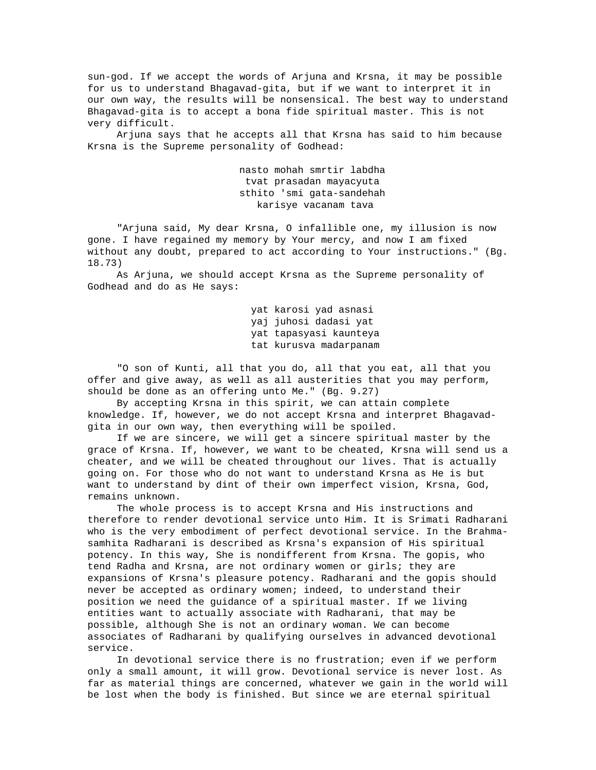sun-god. If we accept the words of Arjuna and Krsna, it may be possible for us to understand Bhagavad-gita, but if we want to interpret it in our own way, the results will be nonsensical. The best way to understand Bhagavad-gita is to accept a bona fide spiritual master. This is not very difficult.

 Arjuna says that he accepts all that Krsna has said to him because Krsna is the Supreme personality of Godhead:

> nasto mohah smrtir labdha tvat prasadan mayacyuta sthito 'smi gata-sandehah karisye vacanam tava

 "Arjuna said, My dear Krsna, O infallible one, my illusion is now gone. I have regained my memory by Your mercy, and now I am fixed without any doubt, prepared to act according to Your instructions." (Bg. 18.73)

 As Arjuna, we should accept Krsna as the Supreme personality of Godhead and do as He says:

> yat karosi yad asnasi yaj juhosi dadasi yat yat tapasyasi kaunteya tat kurusva madarpanam

 "O son of Kunti, all that you do, all that you eat, all that you offer and give away, as well as all austerities that you may perform, should be done as an offering unto Me." (Bg. 9.27)

 By accepting Krsna in this spirit, we can attain complete knowledge. If, however, we do not accept Krsna and interpret Bhagavadgita in our own way, then everything will be spoiled.

 If we are sincere, we will get a sincere spiritual master by the grace of Krsna. If, however, we want to be cheated, Krsna will send us a cheater, and we will be cheated throughout our lives. That is actually going on. For those who do not want to understand Krsna as He is but want to understand by dint of their own imperfect vision, Krsna, God, remains unknown.

 The whole process is to accept Krsna and His instructions and therefore to render devotional service unto Him. It is Srimati Radharani who is the very embodiment of perfect devotional service. In the Brahmasamhita Radharani is described as Krsna's expansion of His spiritual potency. In this way, She is nondifferent from Krsna. The gopis, who tend Radha and Krsna, are not ordinary women or girls; they are expansions of Krsna's pleasure potency. Radharani and the gopis should never be accepted as ordinary women; indeed, to understand their position we need the guidance of a spiritual master. If we living entities want to actually associate with Radharani, that may be possible, although She is not an ordinary woman. We can become associates of Radharani by qualifying ourselves in advanced devotional service.

 In devotional service there is no frustration; even if we perform only a small amount, it will grow. Devotional service is never lost. As far as material things are concerned, whatever we gain in the world will be lost when the body is finished. But since we are eternal spiritual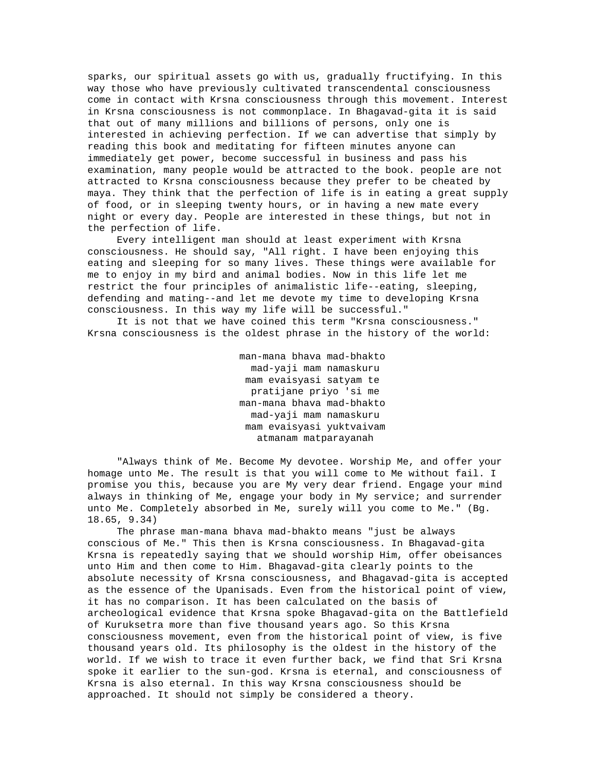sparks, our spiritual assets go with us, gradually fructifying. In this way those who have previously cultivated transcendental consciousness come in contact with Krsna consciousness through this movement. Interest in Krsna consciousness is not commonplace. In Bhagavad-gita it is said that out of many millions and billions of persons, only one is interested in achieving perfection. If we can advertise that simply by reading this book and meditating for fifteen minutes anyone can immediately get power, become successful in business and pass his examination, many people would be attracted to the book. people are not attracted to Krsna consciousness because they prefer to be cheated by maya. They think that the perfection of life is in eating a great supply of food, or in sleeping twenty hours, or in having a new mate every night or every day. People are interested in these things, but not in the perfection of life.

 Every intelligent man should at least experiment with Krsna consciousness. He should say, "All right. I have been enjoying this eating and sleeping for so many lives. These things were available for me to enjoy in my bird and animal bodies. Now in this life let me restrict the four principles of animalistic life--eating, sleeping, defending and mating--and let me devote my time to developing Krsna consciousness. In this way my life will be successful."

 It is not that we have coined this term "Krsna consciousness." Krsna consciousness is the oldest phrase in the history of the world:

> man-mana bhava mad-bhakto mad-yaji mam namaskuru mam evaisyasi satyam te pratijane priyo 'si me man-mana bhava mad-bhakto mad-yaji mam namaskuru mam evaisyasi yuktvaivam atmanam matparayanah

 "Always think of Me. Become My devotee. Worship Me, and offer your homage unto Me. The result is that you will come to Me without fail. I promise you this, because you are My very dear friend. Engage your mind always in thinking of Me, engage your body in My service; and surrender unto Me. Completely absorbed in Me, surely will you come to Me." (Bg. 18.65, 9.34)

 The phrase man-mana bhava mad-bhakto means "just be always conscious of Me." This then is Krsna consciousness. In Bhagavad-gita Krsna is repeatedly saying that we should worship Him, offer obeisances unto Him and then come to Him. Bhagavad-gita clearly points to the absolute necessity of Krsna consciousness, and Bhagavad-gita is accepted as the essence of the Upanisads. Even from the historical point of view, it has no comparison. It has been calculated on the basis of archeological evidence that Krsna spoke Bhagavad-gita on the Battlefield of Kuruksetra more than five thousand years ago. So this Krsna consciousness movement, even from the historical point of view, is five thousand years old. Its philosophy is the oldest in the history of the world. If we wish to trace it even further back, we find that Sri Krsna spoke it earlier to the sun-god. Krsna is eternal, and consciousness of Krsna is also eternal. In this way Krsna consciousness should be approached. It should not simply be considered a theory.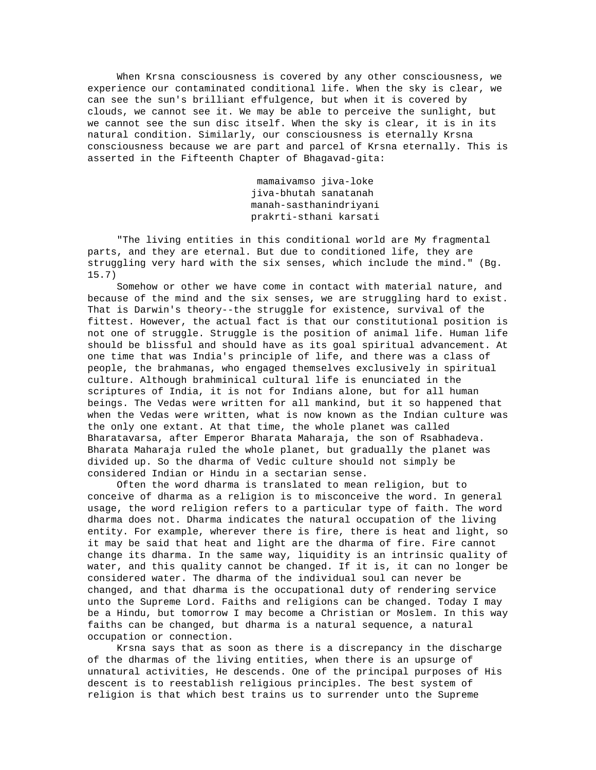When Krsna consciousness is covered by any other consciousness, we experience our contaminated conditional life. When the sky is clear, we can see the sun's brilliant effulgence, but when it is covered by clouds, we cannot see it. We may be able to perceive the sunlight, but we cannot see the sun disc itself. When the sky is clear, it is in its natural condition. Similarly, our consciousness is eternally Krsna consciousness because we are part and parcel of Krsna eternally. This is asserted in the Fifteenth Chapter of Bhagavad-gita:

> mamaivamso jiva-loke jiva-bhutah sanatanah manah-sasthanindriyani prakrti-sthani karsati

 "The living entities in this conditional world are My fragmental parts, and they are eternal. But due to conditioned life, they are struggling very hard with the six senses, which include the mind." (Bg. 15.7)

 Somehow or other we have come in contact with material nature, and because of the mind and the six senses, we are struggling hard to exist. That is Darwin's theory--the struggle for existence, survival of the fittest. However, the actual fact is that our constitutional position is not one of struggle. Struggle is the position of animal life. Human life should be blissful and should have as its goal spiritual advancement. At one time that was India's principle of life, and there was a class of people, the brahmanas, who engaged themselves exclusively in spiritual culture. Although brahminical cultural life is enunciated in the scriptures of India, it is not for Indians alone, but for all human beings. The Vedas were written for all mankind, but it so happened that when the Vedas were written, what is now known as the Indian culture was the only one extant. At that time, the whole planet was called Bharatavarsa, after Emperor Bharata Maharaja, the son of Rsabhadeva. Bharata Maharaja ruled the whole planet, but gradually the planet was divided up. So the dharma of Vedic culture should not simply be considered Indian or Hindu in a sectarian sense.

 Often the word dharma is translated to mean religion, but to conceive of dharma as a religion is to misconceive the word. In general usage, the word religion refers to a particular type of faith. The word dharma does not. Dharma indicates the natural occupation of the living entity. For example, wherever there is fire, there is heat and light, so it may be said that heat and light are the dharma of fire. Fire cannot change its dharma. In the same way, liquidity is an intrinsic quality of water, and this quality cannot be changed. If it is, it can no longer be considered water. The dharma of the individual soul can never be changed, and that dharma is the occupational duty of rendering service unto the Supreme Lord. Faiths and religions can be changed. Today I may be a Hindu, but tomorrow I may become a Christian or Moslem. In this way faiths can be changed, but dharma is a natural sequence, a natural occupation or connection.

 Krsna says that as soon as there is a discrepancy in the discharge of the dharmas of the living entities, when there is an upsurge of unnatural activities, He descends. One of the principal purposes of His descent is to reestablish religious principles. The best system of religion is that which best trains us to surrender unto the Supreme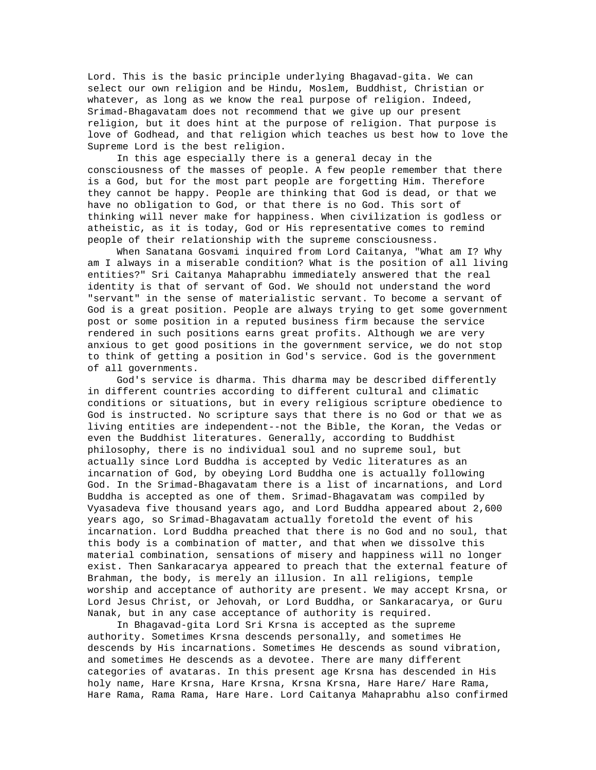Lord. This is the basic principle underlying Bhagavad-gita. We can select our own religion and be Hindu, Moslem, Buddhist, Christian or whatever, as long as we know the real purpose of religion. Indeed, Srimad-Bhagavatam does not recommend that we give up our present religion, but it does hint at the purpose of religion. That purpose is love of Godhead, and that religion which teaches us best how to love the Supreme Lord is the best religion.

 In this age especially there is a general decay in the consciousness of the masses of people. A few people remember that there is a God, but for the most part people are forgetting Him. Therefore they cannot be happy. People are thinking that God is dead, or that we have no obligation to God, or that there is no God. This sort of thinking will never make for happiness. When civilization is godless or atheistic, as it is today, God or His representative comes to remind people of their relationship with the supreme consciousness.

 When Sanatana Gosvami inquired from Lord Caitanya, "What am I? Why am I always in a miserable condition? What is the position of all living entities?" Sri Caitanya Mahaprabhu immediately answered that the real identity is that of servant of God. We should not understand the word "servant" in the sense of materialistic servant. To become a servant of God is a great position. People are always trying to get some government post or some position in a reputed business firm because the service rendered in such positions earns great profits. Although we are very anxious to get good positions in the government service, we do not stop to think of getting a position in God's service. God is the government of all governments.

 God's service is dharma. This dharma may be described differently in different countries according to different cultural and climatic conditions or situations, but in every religious scripture obedience to God is instructed. No scripture says that there is no God or that we as living entities are independent--not the Bible, the Koran, the Vedas or even the Buddhist literatures. Generally, according to Buddhist philosophy, there is no individual soul and no supreme soul, but actually since Lord Buddha is accepted by Vedic literatures as an incarnation of God, by obeying Lord Buddha one is actually following God. In the Srimad-Bhagavatam there is a list of incarnations, and Lord Buddha is accepted as one of them. Srimad-Bhagavatam was compiled by Vyasadeva five thousand years ago, and Lord Buddha appeared about 2,600 years ago, so Srimad-Bhagavatam actually foretold the event of his incarnation. Lord Buddha preached that there is no God and no soul, that this body is a combination of matter, and that when we dissolve this material combination, sensations of misery and happiness will no longer exist. Then Sankaracarya appeared to preach that the external feature of Brahman, the body, is merely an illusion. In all religions, temple worship and acceptance of authority are present. We may accept Krsna, or Lord Jesus Christ, or Jehovah, or Lord Buddha, or Sankaracarya, or Guru Nanak, but in any case acceptance of authority is required.

 In Bhagavad-gita Lord Sri Krsna is accepted as the supreme authority. Sometimes Krsna descends personally, and sometimes He descends by His incarnations. Sometimes He descends as sound vibration, and sometimes He descends as a devotee. There are many different categories of avataras. In this present age Krsna has descended in His holy name, Hare Krsna, Hare Krsna, Krsna Krsna, Hare Hare/ Hare Rama, Hare Rama, Rama Rama, Hare Hare. Lord Caitanya Mahaprabhu also confirmed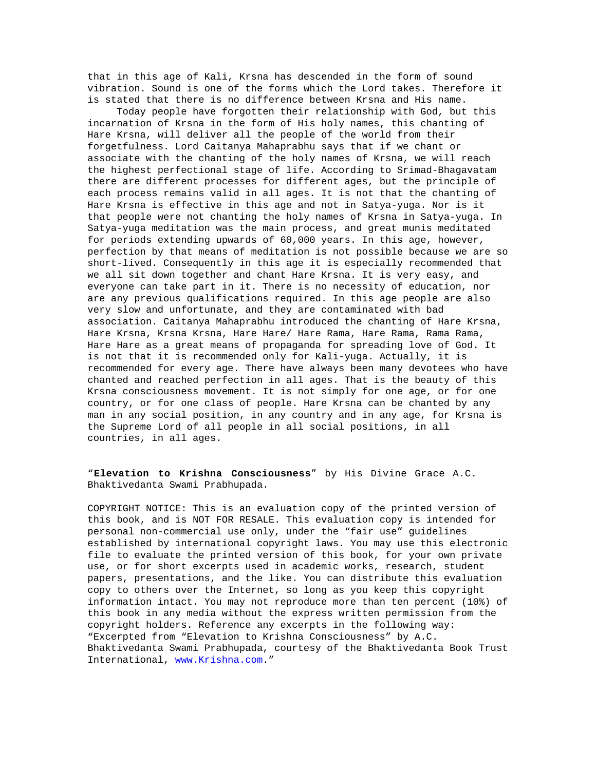that in this age of Kali, Krsna has descended in the form of sound vibration. Sound is one of the forms which the Lord takes. Therefore it is stated that there is no difference between Krsna and His name.

 Today people have forgotten their relationship with God, but this incarnation of Krsna in the form of His holy names, this chanting of Hare Krsna, will deliver all the people of the world from their forgetfulness. Lord Caitanya Mahaprabhu says that if we chant or associate with the chanting of the holy names of Krsna, we will reach the highest perfectional stage of life. According to Srimad-Bhagavatam there are different processes for different ages, but the principle of each process remains valid in all ages. It is not that the chanting of Hare Krsna is effective in this age and not in Satya-yuga. Nor is it that people were not chanting the holy names of Krsna in Satya-yuga. In Satya-yuga meditation was the main process, and great munis meditated for periods extending upwards of 60,000 years. In this age, however, perfection by that means of meditation is not possible because we are so short-lived. Consequently in this age it is especially recommended that we all sit down together and chant Hare Krsna. It is very easy, and everyone can take part in it. There is no necessity of education, nor are any previous qualifications required. In this age people are also very slow and unfortunate, and they are contaminated with bad association. Caitanya Mahaprabhu introduced the chanting of Hare Krsna, Hare Krsna, Krsna Krsna, Hare Hare/ Hare Rama, Hare Rama, Rama Rama, Hare Hare as a great means of propaganda for spreading love of God. It is not that it is recommended only for Kali-yuga. Actually, it is recommended for every age. There have always been many devotees who have chanted and reached perfection in all ages. That is the beauty of this Krsna consciousness movement. It is not simply for one age, or for one country, or for one class of people. Hare Krsna can be chanted by any man in any social position, in any country and in any age, for Krsna is the Supreme Lord of all people in all social positions, in all countries, in all ages.

"**Elevation to Krishna Consciousness**" by His Divine Grace A.C. Bhaktivedanta Swami Prabhupada.

COPYRIGHT NOTICE: This is an evaluation copy of the printed version of this book, and is NOT FOR RESALE. This evaluation copy is intended for personal non-commercial use only, under the "fair use" guidelines established by international copyright laws. You may use this electronic file to evaluate the printed version of this book, for your own private use, or for short excerpts used in academic works, research, student papers, presentations, and the like. You can distribute this evaluation copy to others over the Internet, so long as you keep this copyright information intact. You may not reproduce more than ten percent (10%) of this book in any media without the express written permission from the copyright holders. Reference any excerpts in the following way: "Excerpted from "Elevation to Krishna Consciousness" by A.C. Bhaktivedanta Swami Prabhupada, courtesy of the Bhaktivedanta Book Trust International, www.Krishna.com."